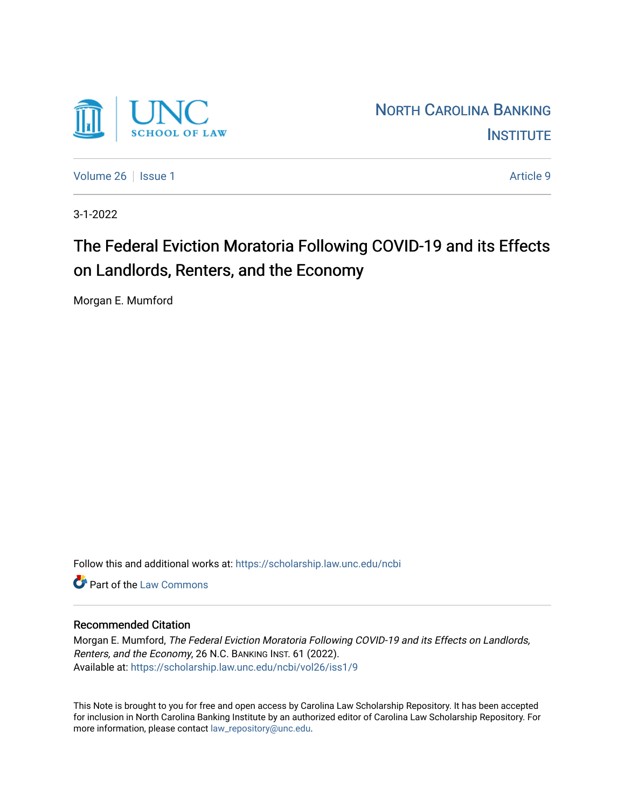

[Volume 26](https://scholarship.law.unc.edu/ncbi/vol26) | [Issue 1](https://scholarship.law.unc.edu/ncbi/vol26/iss1) Article 9

3-1-2022

# The Federal Eviction Moratoria Following COVID-19 and its Effects on Landlords, Renters, and the Economy

Morgan E. Mumford

Follow this and additional works at: [https://scholarship.law.unc.edu/ncbi](https://scholarship.law.unc.edu/ncbi?utm_source=scholarship.law.unc.edu%2Fncbi%2Fvol26%2Fiss1%2F9&utm_medium=PDF&utm_campaign=PDFCoverPages)

**C** Part of the [Law Commons](https://network.bepress.com/hgg/discipline/578?utm_source=scholarship.law.unc.edu%2Fncbi%2Fvol26%2Fiss1%2F9&utm_medium=PDF&utm_campaign=PDFCoverPages)

# Recommended Citation

Morgan E. Mumford, The Federal Eviction Moratoria Following COVID-19 and its Effects on Landlords, Renters, and the Economy, 26 N.C. BANKING INST. 61 (2022). Available at: [https://scholarship.law.unc.edu/ncbi/vol26/iss1/9](https://scholarship.law.unc.edu/ncbi/vol26/iss1/9?utm_source=scholarship.law.unc.edu%2Fncbi%2Fvol26%2Fiss1%2F9&utm_medium=PDF&utm_campaign=PDFCoverPages) 

This Note is brought to you for free and open access by Carolina Law Scholarship Repository. It has been accepted for inclusion in North Carolina Banking Institute by an authorized editor of Carolina Law Scholarship Repository. For more information, please contact [law\\_repository@unc.edu](mailto:law_repository@unc.edu).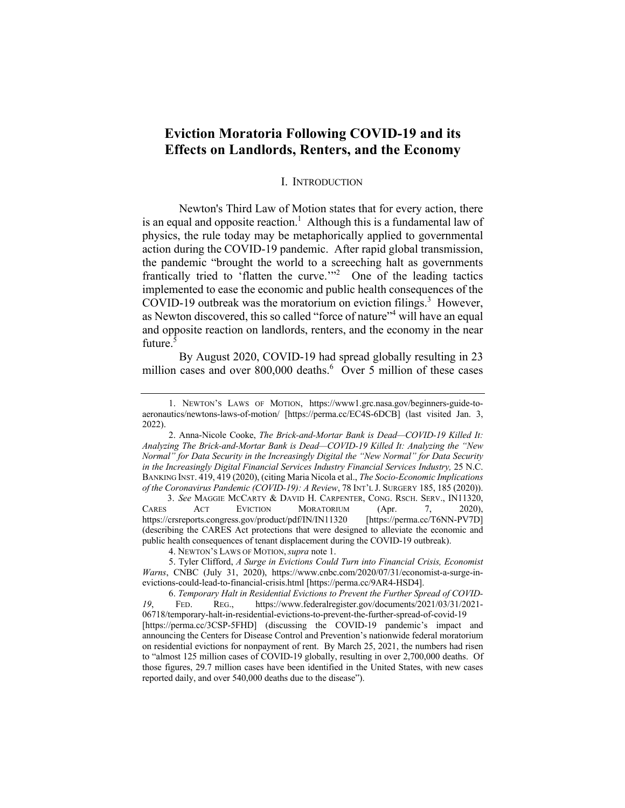# **Eviction Moratoria Following COVID-19 and its Effects on Landlords, Renters, and the Economy**

### I. INTRODUCTION

Newton's Third Law of Motion states that for every action, there is an equal and opposite reaction.<sup>1</sup> Although this is a fundamental law of physics, the rule today may be metaphorically applied to governmental action during the COVID-19 pandemic. After rapid global transmission, the pandemic "brought the world to a screeching halt as governments frantically tried to 'flatten the curve.'"<sup>2</sup> One of the leading tactics implemented to ease the economic and public health consequences of the COVID-19 outbreak was the moratorium on eviction filings. 3 However, as Newton discovered, this so called "force of nature"<sup>4</sup> will have an equal and opposite reaction on landlords, renters, and the economy in the near future.<sup>5</sup>

By August 2020, COVID-19 had spread globally resulting in 23 million cases and over  $800,000$  deaths.<sup>6</sup> Over 5 million of these cases

 3. *See* MAGGIE MCCARTY & DAVID H. CARPENTER, CONG. RSCH. SERV., IN11320, CARES ACT EVICTION MORATORIUM (Apr. 7, 2020), https://crsreports.congress.gov/product/pdf/IN/IN11320 [https://perma.cc/T6NN-PV7D] (describing the CARES Act protections that were designed to alleviate the economic and public health consequences of tenant displacement during the COVID-19 outbreak).

4. NEWTON'S LAWS OF MOTION,*supra* note 1.

5. Tyler Clifford, *A Surge in Evictions Could Turn into Financial Crisis, Economist Warns*, CNBC (July 31, 2020), https://www.cnbc.com/2020/07/31/economist-a-surge-inevictions-could-lead-to-financial-crisis.html [https://perma.cc/9AR4-HSD4].

<sup>1.</sup> NEWTON'S LAWS OF MOTION, https://www1.grc.nasa.gov/beginners-guide-toaeronautics/newtons-laws-of-motion/ [https://perma.cc/EC4S-6DCB] (last visited Jan. 3, 2022).

<sup>2.</sup> Anna-Nicole Cooke, *The Brick-and-Mortar Bank is Dead—COVID-19 Killed It: Analyzing The Brick-and-Mortar Bank is Dead—COVID-19 Killed It: Analyzing the "New Normal" for Data Security in the Increasingly Digital the "New Normal" for Data Security in the Increasingly Digital Financial Services Industry Financial Services Industry,* 25 N.C. BANKING INST. 419, 419 (2020), (citing Maria Nicola et al., *The Socio-Economic Implications of the Coronavirus Pandemic (COVID-19): A Review*, 78 INT'L J. SURGERY 185, 185 (2020)).

<sup>6.</sup> *Temporary Halt in Residential Evictions to Prevent the Further Spread of COVID-19*, FED. REG., https://www.federalregister.gov/documents/2021/03/31/2021- 06718/temporary-halt-in-residential-evictions-to-prevent-the-further-spread-of-covid-19 [https://perma.cc/3CSP-5FHD] (discussing the COVID-19 pandemic's impact and announcing the Centers for Disease Control and Prevention's nationwide federal moratorium on residential evictions for nonpayment of rent. By March 25, 2021, the numbers had risen to "almost 125 million cases of COVID-19 globally, resulting in over 2,700,000 deaths. Of those figures, 29.7 million cases have been identified in the United States, with new cases reported daily, and over 540,000 deaths due to the disease").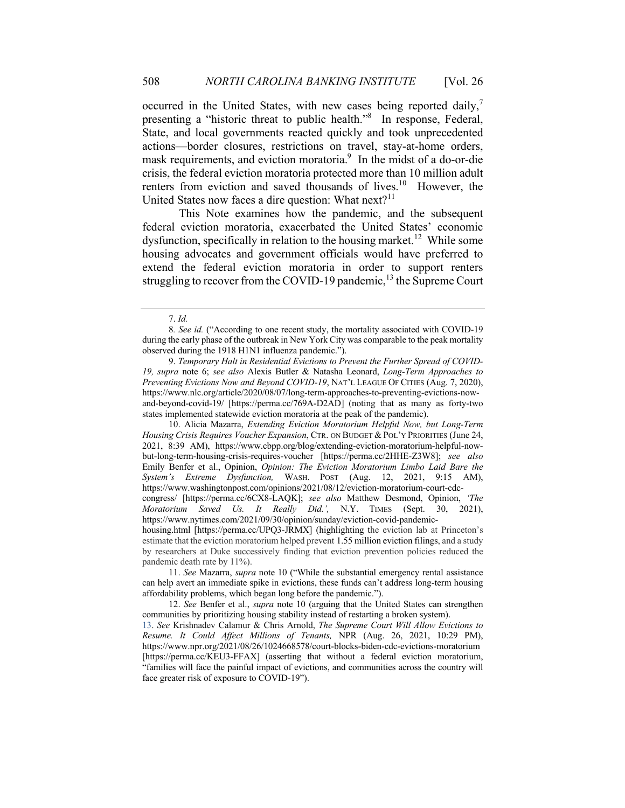occurred in the United States, with new cases being reported daily,<sup>7</sup> presenting a "historic threat to public health."<sup>8</sup> In response, Federal, State, and local governments reacted quickly and took unprecedented actions—border closures, restrictions on travel, stay-at-home orders, mask requirements, and eviction moratoria.<sup>9</sup> In the midst of a do-or-die crisis, the federal eviction moratoria protected more than 10 million adult renters from eviction and saved thousands of lives.<sup>10</sup> However, the United States now faces a dire question: What  $next?$ <sup>11</sup>

This Note examines how the pandemic, and the subsequent federal eviction moratoria, exacerbated the United States' economic dysfunction, specifically in relation to the housing market.<sup>12</sup> While some housing advocates and government officials would have preferred to extend the federal eviction moratoria in order to support renters struggling to recover from the COVID-19 pandemic,  $13$  the Supreme Court

9. *Temporary Halt in Residential Evictions to Prevent the Further Spread of COVID-19, supra* note 6; *see also* Alexis Butler & Natasha Leonard, *Long-Term Approaches to Preventing Evictions Now and Beyond COVID-19*, NAT'L LEAGUE OF CITIES (Aug. 7, 2020), https://www.nlc.org/article/2020/08/07/long-term-approaches-to-preventing-evictions-nowand-beyond-covid-19/ [https://perma.cc/769A-D2AD] (noting that as many as forty-two states implemented statewide eviction moratoria at the peak of the pandemic).

10. Alicia Mazarra, *Extending Eviction Moratorium Helpful Now, but Long-Term Housing Crisis Requires Voucher Expansion*, CTR. ON BUDGET & POL'Y PRIORITIES (June 24, 2021, 8:39 AM), https://www.cbpp.org/blog/extending-eviction-moratorium-helpful-nowbut-long-term-housing-crisis-requires-voucher [https://perma.cc/2HHE-Z3W8]; *see also* Emily Benfer et al., Opinion, *Opinion: The Eviction Moratorium Limbo Laid Bare the System's Extreme Dysfunction,* WASH. POST (Aug. 12, 2021, 9:15 AM), https://www.washingtonpost.com/opinions/2021/08/12/eviction-moratorium-court-cdccongress/ [https://perma.cc/6CX8-LAQK]; *see also* Matthew Desmond, Opinion, *'The Moratorium Saved Us. It Really Did.',* N.Y. TIMES (Sept. 30, 2021), https://www.nytimes.com/2021/09/30/opinion/sunday/eviction-covid-pandemichousing.html [https://perma.cc/UPQ3-JRMX] (highlighting the eviction lab at Princeton's

estimate that the eviction moratorium helped prevent 1.55 million eviction filings, and a study by researchers at Duke successively finding that eviction prevention policies reduced the pandemic death rate by 11%).

12. *See* Benfer et al., *supra* note 10 (arguing that the United States can strengthen communities by prioritizing housing stability instead of restarting a broken system).

13. *See* Krishnadev Calamur & Chris Arnold, *The Supreme Court Will Allow Evictions to Resume. It Could Affect Millions of Tenants,* NPR (Aug. 26, 2021, 10:29 PM), https://www.npr.org/2021/08/26/1024668578/court-blocks-biden-cdc-evictions-moratorium [https://perma.cc/KEU3-FFAX] (asserting that without a federal eviction moratorium, "families will face the painful impact of evictions, and communities across the country will face greater risk of exposure to COVID-19").

<sup>7.</sup> *Id.*

<sup>8</sup>*. See id.* ("According to one recent study, the mortality associated with COVID-19 during the early phase of the outbreak in New York City was comparable to the peak mortality observed during the 1918 H1N1 influenza pandemic.").

<sup>11.</sup> *See* Mazarra, *supra* note 10 ("While the substantial emergency rental assistance can help avert an immediate spike in evictions, these funds can't address long-term housing affordability problems, which began long before the pandemic.").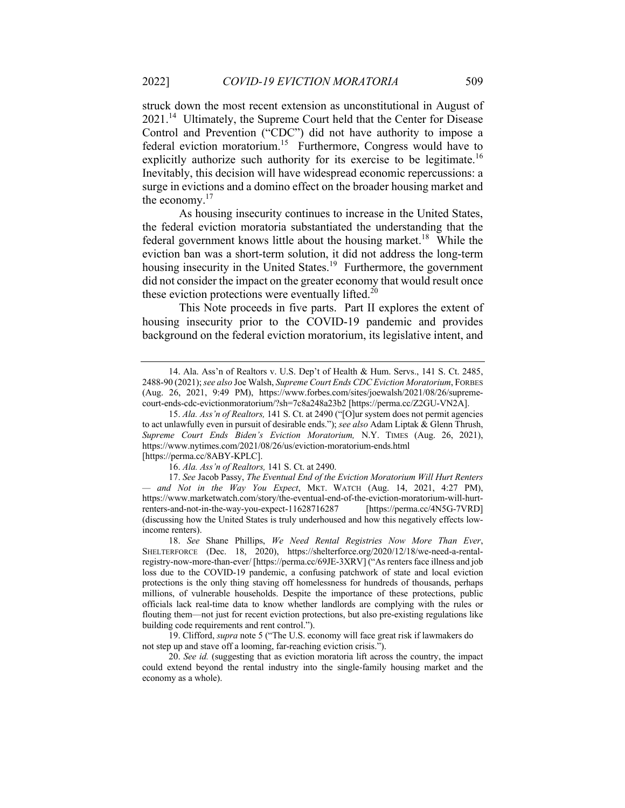struck down the most recent extension as unconstitutional in August of 2021.<sup>14</sup> Ultimately, the Supreme Court held that the Center for Disease Control and Prevention ("CDC") did not have authority to impose a federal eviction moratorium.<sup>15</sup> Furthermore, Congress would have to explicitly authorize such authority for its exercise to be legitimate.<sup>16</sup> Inevitably, this decision will have widespread economic repercussions: a surge in evictions and a domino effect on the broader housing market and the economy. $17$ 

As housing insecurity continues to increase in the United States, the federal eviction moratoria substantiated the understanding that the federal government knows little about the housing market.<sup>18</sup> While the eviction ban was a short-term solution, it did not address the long-term housing insecurity in the United States.<sup>19</sup> Furthermore, the government did not consider the impact on the greater economy that would result once these eviction protections were eventually lifted. $20$ 

This Note proceeds in five parts. Part II explores the extent of housing insecurity prior to the COVID-19 pandemic and provides background on the federal eviction moratorium, its legislative intent, and

<sup>14.</sup> Ala. Ass'n of Realtors v. U.S. Dep't of Health & Hum. Servs., 141 S. Ct. 2485, 2488-90 (2021); *see also* Joe Walsh, *Supreme Court Ends CDC Eviction Moratorium*, FORBES (Aug. 26, 2021, 9:49 PM), https://www.forbes.com/sites/joewalsh/2021/08/26/supremecourt-ends-cdc-evictionmoratorium/?sh=7c8a248a23b2 [https://perma.cc/Z2GU-VN2A].

<sup>15.</sup> *Ala. Ass'n of Realtors,* 141 S. Ct. at 2490 ("[O]ur system does not permit agencies to act unlawfully even in pursuit of desirable ends."); *see also* Adam Liptak & Glenn Thrush, *Supreme Court Ends Biden's Eviction Moratorium,* N.Y. TIMES (Aug. 26, 2021), https://www.nytimes.com/2021/08/26/us/eviction-moratorium-ends.html [https://perma.cc/8ABY-KPLC].

<sup>16.</sup> *Ala. Ass'n of Realtors,* 141 S. Ct. at 2490.

<sup>17.</sup> *See* Jacob Passy, *The Eventual End of the Eviction Moratorium Will Hurt Renters — and Not in the Way You Expect*, MKT. WATCH (Aug. 14, 2021, 4:27 PM), https://www.marketwatch.com/story/the-eventual-end-of-the-eviction-moratorium-will-hurtrenters-and-not-in-the-way-you-expect-11628716287 [https://perma.cc/4N5G-7VRD] (discussing how the United States is truly underhoused and how this negatively effects lowincome renters).

<sup>18.</sup> *See* Shane Phillips, *We Need Rental Registries Now More Than Ever*, SHELTERFORCE (Dec. 18, 2020), https://shelterforce.org/2020/12/18/we-need-a-rentalregistry-now-more-than-ever/ [https://perma.cc/69JE-3XRV] ("As renters face illness and job loss due to the COVID-19 pandemic, a confusing patchwork of state and local eviction protections is the only thing staving off homelessness for hundreds of thousands, perhaps millions, of vulnerable households. Despite the importance of these protections, public officials lack real-time data to know whether landlords are complying with the rules or flouting them—not just for recent eviction protections, but also pre-existing regulations like building code requirements and rent control.").

<sup>19.</sup> Clifford, *supra* note 5 ("The U.S. economy will face great risk if lawmakers do not step up and stave off a looming, far-reaching eviction crisis.").

<sup>20.</sup> *See id.* (suggesting that as eviction moratoria lift across the country, the impact could extend beyond the rental industry into the single-family housing market and the economy as a whole).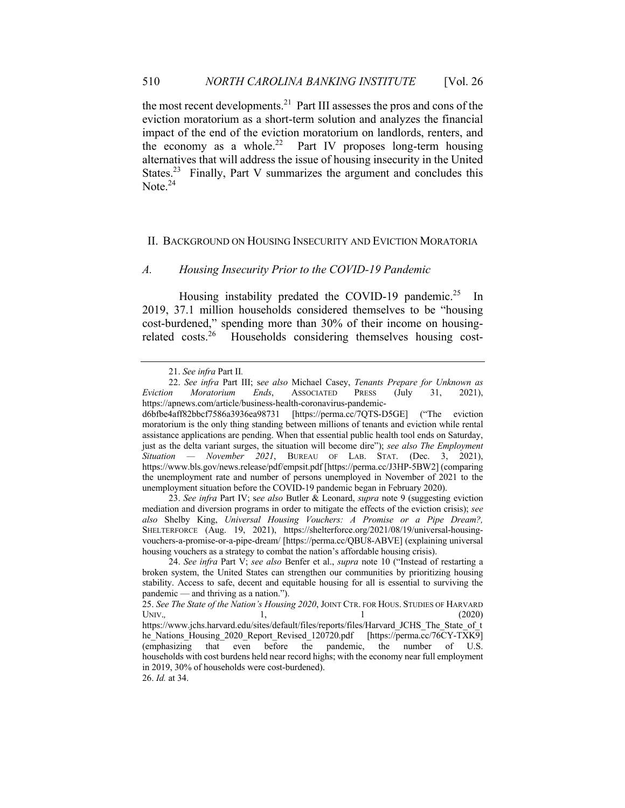the most recent developments.21 Part III assesses the pros and cons of the eviction moratorium as a short-term solution and analyzes the financial impact of the end of the eviction moratorium on landlords, renters, and the economy as a whole.<sup>22</sup> Part IV proposes long-term housing alternatives that will address the issue of housing insecurity in the United States.<sup>23</sup> Finally, Part V summarizes the argument and concludes this Note. $24$ 

## II. BACKGROUND ON HOUSING INSECURITY AND EVICTION MORATORIA

#### *A. Housing Insecurity Prior to the COVID-19 Pandemic*

Housing instability predated the COVID-19 pandemic.<sup>25</sup> In 2019, 37.1 million households considered themselves to be "housing cost-burdened," spending more than 30% of their income on housingrelated costs.26 Households considering themselves housing cost-

<sup>21.</sup> *See infra* Part II*.*

<sup>22.</sup> *See infra* Part III; s*ee also* Michael Casey, *Tenants Prepare for Unknown as Eviction Moratorium Ends*, ASSOCIATED PRESS (July 31, 2021), https://apnews.com/article/business-health-coronavirus-pandemic-

d6bfbe4aff82bbcf7586a3936ea98731 [https://perma.cc/7QTS-D5GE] ("The eviction moratorium is the only thing standing between millions of tenants and eviction while rental assistance applications are pending. When that essential public health tool ends on Saturday, just as the delta variant surges, the situation will become dire"); *see also The Employment Situation — November 2021*, BUREAU OF LAB. STAT. (Dec. 3, 2021), https://www.bls.gov/news.release/pdf/empsit.pdf [https://perma.cc/J3HP-5BW2] (comparing the unemployment rate and number of persons unemployed in November of 2021 to the unemployment situation before the COVID-19 pandemic began in February 2020).

<sup>23.</sup> *See infra* Part IV; s*ee also* Butler & Leonard, *supra* note 9 (suggesting eviction mediation and diversion programs in order to mitigate the effects of the eviction crisis); *see also* Shelby King, *Universal Housing Vouchers: A Promise or a Pipe Dream?,* SHELTERFORCE (Aug. 19, 2021), https://shelterforce.org/2021/08/19/universal-housingvouchers-a-promise-or-a-pipe-dream/ [https://perma.cc/QBU8-ABVE] (explaining universal housing vouchers as a strategy to combat the nation's affordable housing crisis).

<sup>24.</sup> *See infra* Part V; *see also* Benfer et al., *supra* note 10 ("Instead of restarting a broken system, the United States can strengthen our communities by prioritizing housing stability. Access to safe, decent and equitable housing for all is essential to surviving the pandemic — and thriving as a nation.").

<sup>25.</sup> *See The State of the Nation's Housing 2020*, JOINT CTR. FOR HOUS. STUDIES OF HARVARD UNIV., 1, 1, 1 (2020)

https://www.jchs.harvard.edu/sites/default/files/reports/files/Harvard\_JCHS\_The\_State\_of\_t he\_Nations\_Housing\_2020\_Report\_Revised\_120720.pdf [https://perma.cc/76CY-TXK9] (emphasizing that even before the pandemic, the number of U.S. households with cost burdens held near record highs; with the economy near full employment in 2019, 30% of households were cost-burdened).

<sup>26.</sup> *Id.* at 34.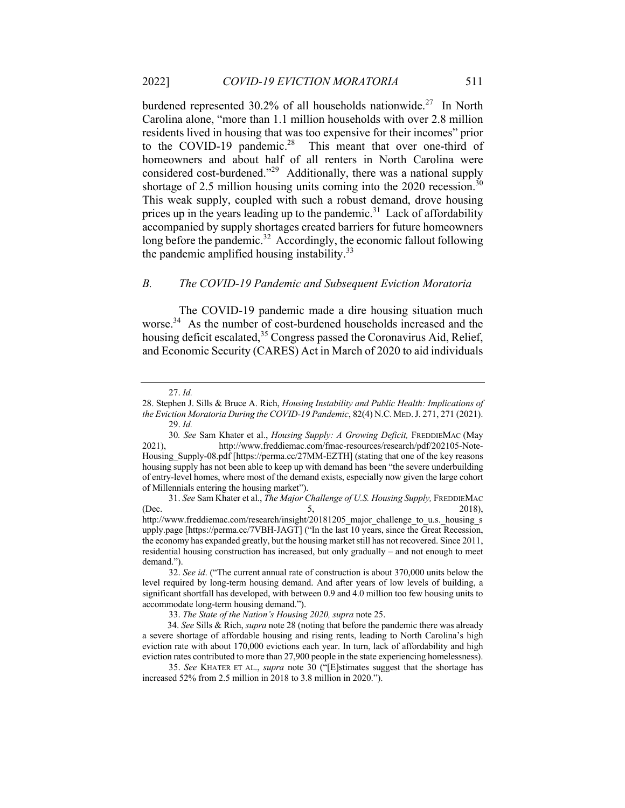burdened represented 30.2% of all households nationwide.<sup>27</sup> In North Carolina alone, "more than 1.1 million households with over 2.8 million residents lived in housing that was too expensive for their incomes" prior to the COVID-19 pandemic.<sup>28</sup> This meant that over one-third of homeowners and about half of all renters in North Carolina were considered cost-burdened."29 Additionally, there was a national supply shortage of 2.5 million housing units coming into the  $2020$  recession.<sup>30</sup> This weak supply, coupled with such a robust demand, drove housing prices up in the years leading up to the pandemic.<sup>31</sup> Lack of affordability accompanied by supply shortages created barriers for future homeowners long before the pandemic.<sup>32</sup> Accordingly, the economic fallout following the pandemic amplified housing instability.<sup>33</sup>

#### *B. The COVID-19 Pandemic and Subsequent Eviction Moratoria*

The COVID-19 pandemic made a dire housing situation much worse.<sup>34</sup> As the number of cost-burdened households increased and the housing deficit escalated,  $35$  Congress passed the Coronavirus Aid, Relief, and Economic Security (CARES) Act in March of 2020 to aid individuals

33. *The State of the Nation's Housing 2020, supra* note 25.

<sup>27.</sup> *Id.*

<sup>28.</sup> Stephen J. Sills & Bruce A. Rich, *Housing Instability and Public Health: Implications of the Eviction Moratoria During the COVID-19 Pandemic*, 82(4) N.C. MED.J. 271, 271 (2021). 29. *Id.* 

<sup>30</sup>*. See* Sam Khater et al., *Housing Supply: A Growing Deficit,* FREDDIEMAC (May 2021), http://www.freddiemac.com/fmac-resources/research/pdf/202105-Note-Housing Supply-08.pdf [https://perma.cc/27MM-EZTH] (stating that one of the key reasons housing supply has not been able to keep up with demand has been "the severe underbuilding of entry-level homes, where most of the demand exists, especially now given the large cohort of Millennials entering the housing market").

<sup>31.</sup> *See* Sam Khater et al., *The Major Challenge of U.S. Housing Supply,* FREDDIEMAC (Dec.  $5,$  2018), http://www.freddiemac.com/research/insight/20181205\_major\_challenge\_to\_u.s.\_housing\_s upply.page [https://perma.cc/7VBH-JAGT] ("In the last 10 years, since the Great Recession, the economy has expanded greatly, but the housing market still has not recovered. Since 2011, residential housing construction has increased, but only gradually – and not enough to meet demand.").

<sup>32.</sup> *See id*. ("The current annual rate of construction is about 370,000 units below the level required by long-term housing demand. And after years of low levels of building, a significant shortfall has developed, with between 0.9 and 4.0 million too few housing units to accommodate long-term housing demand.").

 <sup>34.</sup> *See* Sills & Rich, *supra* note 28 (noting that before the pandemic there was already a severe shortage of affordable housing and rising rents, leading to North Carolina's high eviction rate with about 170,000 evictions each year. In turn, lack of affordability and high eviction rates contributed to more than 27,900 people in the state experiencing homelessness).

<sup>35.</sup> *See* KHATER ET AL., *supra* note 30 ("[E]stimates suggest that the shortage has increased 52% from 2.5 million in 2018 to 3.8 million in 2020.").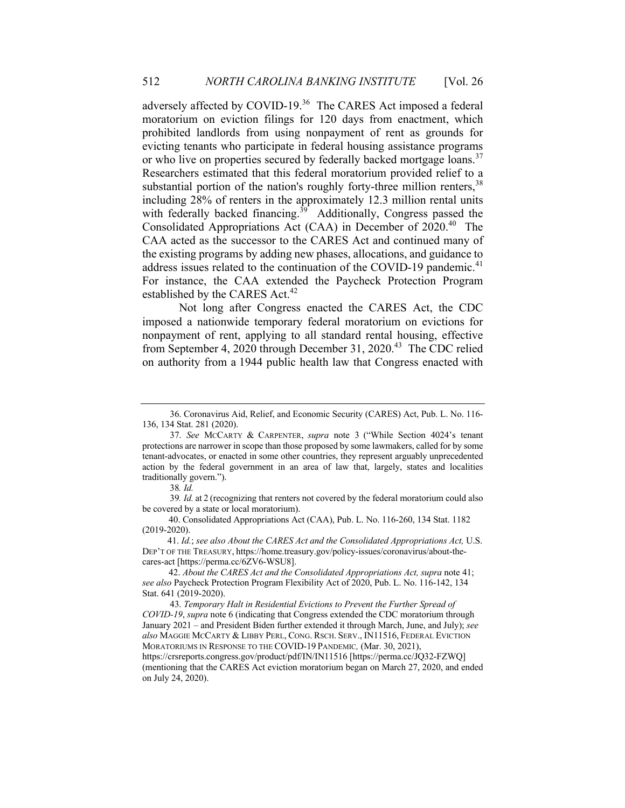adversely affected by COVID-19.<sup>36</sup> The CARES Act imposed a federal moratorium on eviction filings for 120 days from enactment, which prohibited landlords from using nonpayment of rent as grounds for evicting tenants who participate in federal housing assistance programs or who live on properties secured by federally backed mortgage loans.<sup>37</sup> Researchers estimated that this federal moratorium provided relief to a substantial portion of the nation's roughly forty-three million renters,  $38$ including 28% of renters in the approximately 12.3 million rental units with federally backed financing.<sup>39</sup> Additionally, Congress passed the Consolidated Appropriations Act (CAA) in December of 2020.<sup>40</sup> The CAA acted as the successor to the CARES Act and continued many of the existing programs by adding new phases, allocations, and guidance to address issues related to the continuation of the COVID-19 pandemic.<sup>41</sup> For instance, the CAA extended the Paycheck Protection Program established by the CARES Act.<sup>42</sup>

Not long after Congress enacted the CARES Act, the CDC imposed a nationwide temporary federal moratorium on evictions for nonpayment of rent, applying to all standard rental housing, effective from September 4, 2020 through December 31, 2020.43 The CDC relied on authority from a 1944 public health law that Congress enacted with

 <sup>36.</sup> Coronavirus Aid, Relief, and Economic Security (CARES) Act, Pub. L. No. 116- 136, 134 Stat. 281 (2020).

 <sup>37.</sup> *See* MCCARTY & CARPENTER, *supra* note 3 ("While Section 4024's tenant protections are narrower in scope than those proposed by some lawmakers, called for by some tenant-advocates, or enacted in some other countries, they represent arguably unprecedented action by the federal government in an area of law that, largely, states and localities traditionally govern.").

38*. Id.*

39*. Id.* at 2 (recognizing that renters not covered by the federal moratorium could also be covered by a state or local moratorium).

<sup>40.</sup> Consolidated Appropriations Act (CAA), Pub. L. No. 116-260, 134 Stat. 1182 (2019-2020).

 <sup>41.</sup> *Id.*; *see also About the CARES Act and the Consolidated Appropriations Act,* U.S. DEP'T OF THE TREASURY, https://home.treasury.gov/policy-issues/coronavirus/about-thecares-act [https://perma.cc/6ZV6-WSU8].

<sup>42.</sup> *About the CARES Act and the Consolidated Appropriations Act, supra* note 41; *see also* Paycheck Protection Program Flexibility Act of 2020, Pub. L. No. 116-142, 134 Stat. 641 (2019-2020).

 <sup>43.</sup> *Temporary Halt in Residential Evictions to Prevent the Further Spread of COVID-19*, *supra* note 6 (indicating that Congress extended the CDC moratorium through January 2021 – and President Biden further extended it through March, June, and July); *see also* MAGGIE MCCARTY & LIBBY PERL, CONG. RSCH. SERV., IN11516, FEDERAL EVICTION MORATORIUMS IN RESPONSE TO THE COVID-19 PANDEMIC*,* (Mar. 30, 2021), https://crsreports.congress.gov/product/pdf/IN/IN11516 [https://perma.cc/JQ32-FZWQ] (mentioning that the CARES Act eviction moratorium began on March 27, 2020, and ended on July 24, 2020).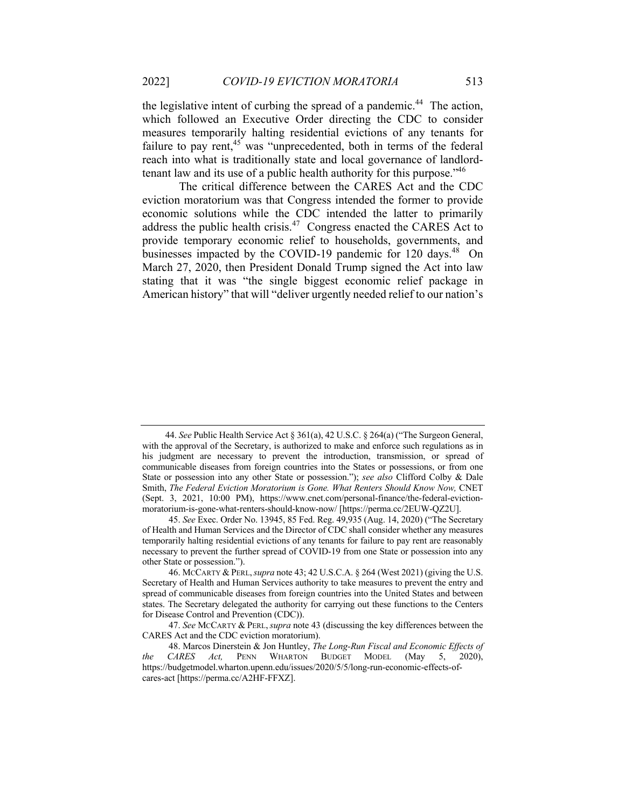the legislative intent of curbing the spread of a pandemic.<sup>44</sup> The action, which followed an Executive Order directing the CDC to consider measures temporarily halting residential evictions of any tenants for failure to pay rent, $45$  was "unprecedented, both in terms of the federal reach into what is traditionally state and local governance of landlordtenant law and its use of a public health authority for this purpose."46

The critical difference between the CARES Act and the CDC eviction moratorium was that Congress intended the former to provide economic solutions while the CDC intended the latter to primarily address the public health crisis.<sup>47</sup> Congress enacted the CARES Act to provide temporary economic relief to households, governments, and businesses impacted by the COVID-19 pandemic for 120 days.<sup>48</sup> On March 27, 2020, then President Donald Trump signed the Act into law stating that it was "the single biggest economic relief package in American history" that will "deliver urgently needed relief to our nation's

 <sup>44.</sup> *See* Public Health Service Act § 361(a), 42 U.S.C. § 264(a) ("The Surgeon General, with the approval of the Secretary, is authorized to make and enforce such regulations as in his judgment are necessary to prevent the introduction, transmission, or spread of communicable diseases from foreign countries into the States or possessions, or from one State or possession into any other State or possession."); *see also* Clifford Colby & Dale Smith, *The Federal Eviction Moratorium is Gone. What Renters Should Know Now,* CNET (Sept. 3, 2021, 10:00 PM), https://www.cnet.com/personal-finance/the-federal-evictionmoratorium-is-gone-what-renters-should-know-now/ [https://perma.cc/2EUW-QZ2U].

<sup>45.</sup> *See* Exec. Order No. 13945, 85 Fed. Reg. 49,935 (Aug. 14, 2020) ("The Secretary of Health and Human Services and the Director of CDC shall consider whether any measures temporarily halting residential evictions of any tenants for failure to pay rent are reasonably necessary to prevent the further spread of COVID-19 from one State or possession into any other State or possession.").

<sup>46.</sup> MCCARTY & PERL,*supra* note 43; 42 U.S.C.A. § 264 (West 2021) (giving the U.S. Secretary of Health and Human Services authority to take measures to prevent the entry and spread of communicable diseases from foreign countries into the United States and between states. The Secretary delegated the authority for carrying out these functions to the Centers for Disease Control and Prevention (CDC)).

<sup>47.</sup> *See* MCCARTY & PERL,*supra* note 43 (discussing the key differences between the CARES Act and the CDC eviction moratorium).

<sup>48.</sup> Marcos Dinerstein & Jon Huntley, *The Long-Run Fiscal and Economic Effects of the CARES Act,* PENN WHARTON BUDGET MODEL (May 5, 2020), https://budgetmodel.wharton.upenn.edu/issues/2020/5/5/long-run-economic-effects-ofcares-act [https://perma.cc/A2HF-FFXZ].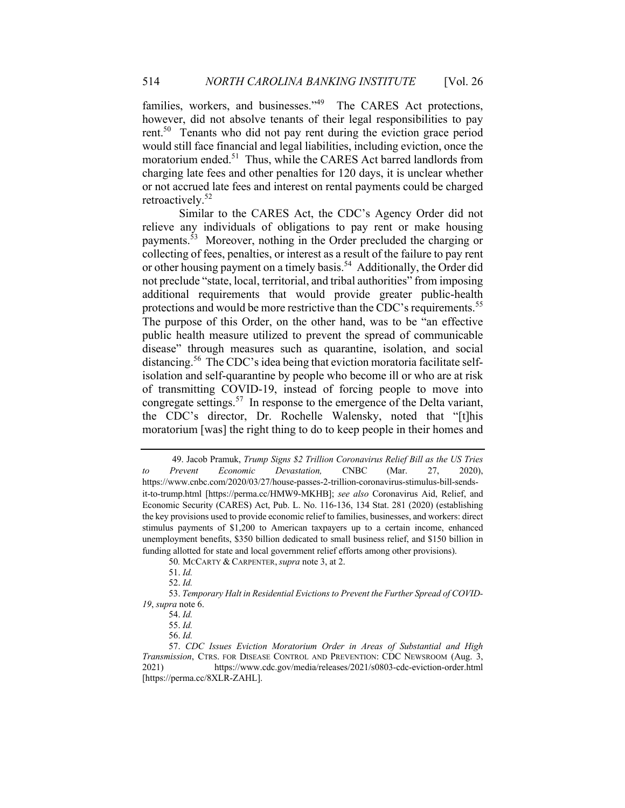families, workers, and businesses."<sup>49</sup> The CARES Act protections, however, did not absolve tenants of their legal responsibilities to pay rent.<sup>50</sup> Tenants who did not pay rent during the eviction grace period would still face financial and legal liabilities, including eviction, once the moratorium ended.<sup>51</sup> Thus, while the CARES Act barred landlords from charging late fees and other penalties for 120 days, it is unclear whether or not accrued late fees and interest on rental payments could be charged retroactively. 52

Similar to the CARES Act, the CDC's Agency Order did not relieve any individuals of obligations to pay rent or make housing payments.53 Moreover, nothing in the Order precluded the charging or collecting of fees, penalties, or interest as a result of the failure to pay rent or other housing payment on a timely basis.<sup>54</sup> Additionally, the Order did not preclude "state, local, territorial, and tribal authorities" from imposing additional requirements that would provide greater public-health protections and would be more restrictive than the CDC's requirements.<sup>55</sup> The purpose of this Order, on the other hand, was to be "an effective public health measure utilized to prevent the spread of communicable disease" through measures such as quarantine, isolation, and social distancing.56 The CDC's idea being that eviction moratoria facilitate selfisolation and self-quarantine by people who become ill or who are at risk of transmitting COVID-19, instead of forcing people to move into congregate settings.<sup>57</sup> In response to the emergence of the Delta variant, the CDC's director, Dr. Rochelle Walensky, noted that "[t]his moratorium [was] the right thing to do to keep people in their homes and

53. *Temporary Halt in Residential Evictions to Prevent the Further Spread of COVID-19*, *supra* note 6.

 <sup>49.</sup> Jacob Pramuk, *Trump Signs \$2 Trillion Coronavirus Relief Bill as the US Tries to Prevent Economic Devastation,* CNBC (Mar. 27, 2020), https://www.cnbc.com/2020/03/27/house-passes-2-trillion-coronavirus-stimulus-bill-sendsit-to-trump.html [https://perma.cc/HMW9-MKHB]; *see also* Coronavirus Aid, Relief, and Economic Security (CARES) Act, Pub. L. No. 116-136, 134 Stat. 281 (2020) (establishing the key provisions used to provide economic relief to families, businesses, and workers: direct stimulus payments of \$1,200 to American taxpayers up to a certain income, enhanced unemployment benefits, \$350 billion dedicated to small business relief, and \$150 billion in funding allotted for state and local government relief efforts among other provisions).

<sup>50</sup>*.* MCCARTY & CARPENTER,*supra* note 3, at 2.

<sup>51.</sup> *Id.*

<sup>52.</sup> *Id.*

<sup>54.</sup> *Id.* 

<sup>55.</sup> *Id.* 

<sup>56.</sup> *Id.* 

<sup>57.</sup> *CDC Issues Eviction Moratorium Order in Areas of Substantial and High Transmission*, CTRS. FOR DISEASE CONTROL AND PREVENTION: CDC NEWSROOM (Aug. 3, 2021) https://www.cdc.gov/media/releases/2021/s0803-cdc-eviction-order.html [https://perma.cc/8XLR-ZAHL].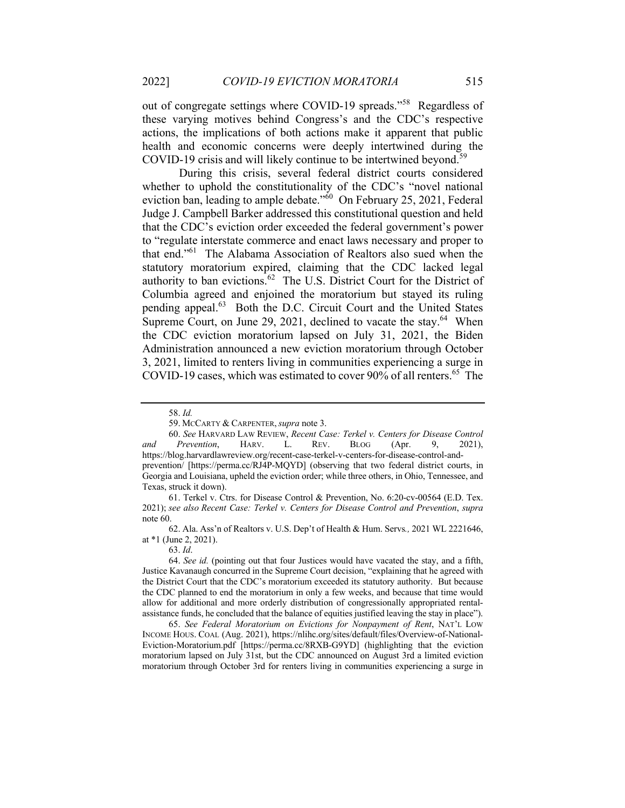out of congregate settings where COVID-19 spreads."58 Regardless of these varying motives behind Congress's and the CDC's respective actions, the implications of both actions make it apparent that public health and economic concerns were deeply intertwined during the COVID-19 crisis and will likely continue to be intertwined beyond.<sup>59</sup>

During this crisis, several federal district courts considered whether to uphold the constitutionality of the CDC's "novel national eviction ban, leading to ample debate." $\frac{60}{100}$  On February 25, 2021, Federal Judge J. Campbell Barker addressed this constitutional question and held that the CDC's eviction order exceeded the federal government's power to "regulate interstate commerce and enact laws necessary and proper to that end."61 The Alabama Association of Realtors also sued when the statutory moratorium expired, claiming that the CDC lacked legal authority to ban evictions.<sup>62</sup> The U.S. District Court for the District of Columbia agreed and enjoined the moratorium but stayed its ruling pending appeal.63 Both the D.C. Circuit Court and the United States Supreme Court, on June 29, 2021, declined to vacate the stay.<sup>64</sup> When the CDC eviction moratorium lapsed on July 31, 2021, the Biden Administration announced a new eviction moratorium through October 3, 2021, limited to renters living in communities experiencing a surge in COVID-19 cases, which was estimated to cover 90% of all renters.<sup>65</sup> The

60. *See* HARVARD LAW REVIEW, *Recent Case: Terkel v. Centers for Disease Control and Prevention*, HARV. L. REV. BLOG (Apr. 9, 2021), https://blog.harvardlawreview.org/recent-case-terkel-v-centers-for-disease-control-andprevention/ [https://perma.cc/RJ4P-MQYD] (observing that two federal district courts, in Georgia and Louisiana, upheld the eviction order; while three others, in Ohio, Tennessee, and Texas, struck it down).

61. Terkel v. Ctrs. for Disease Control & Prevention, No. 6:20-cv-00564 (E.D. Tex. 2021); *see also Recent Case: Terkel v. Centers for Disease Control and Prevention*, *supra* note 60.

62. Ala. Ass'n of Realtors v. U.S. Dep't of Health & Hum. Servs*.,* 2021 WL 2221646, at \*1 (June 2, 2021).

65. *See Federal Moratorium on Evictions for Nonpayment of Rent*, NAT'L LOW INCOME HOUS. COAL (Aug. 2021), https://nlihc.org/sites/default/files/Overview-of-National-Eviction-Moratorium.pdf [https://perma.cc/8RXB-G9YD] (highlighting that the eviction moratorium lapsed on July 31st, but the CDC announced on August 3rd a limited eviction moratorium through October 3rd for renters living in communities experiencing a surge in

<sup>58.</sup> *Id.* 

<sup>59.</sup> MCCARTY & CARPENTER,*supra* note 3.

<sup>63.</sup> *Id*.

<sup>64.</sup> *See id.* (pointing out that four Justices would have vacated the stay, and a fifth, Justice Kavanaugh concurred in the Supreme Court decision, "explaining that he agreed with the District Court that the CDC's moratorium exceeded its statutory authority. But because the CDC planned to end the moratorium in only a few weeks, and because that time would allow for additional and more orderly distribution of congressionally appropriated rentalassistance funds, he concluded that the balance of equities justified leaving the stay in place").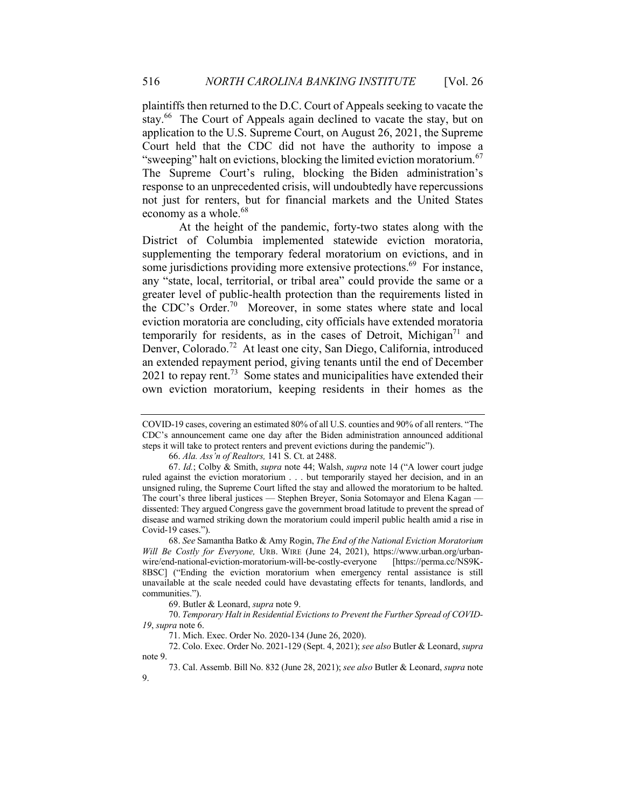plaintiffs then returned to the D.C. Court of Appeals seeking to vacate the stay.<sup>66</sup> The Court of Appeals again declined to vacate the stay, but on application to the U.S. Supreme Court, on August 26, 2021, the Supreme Court held that the CDC did not have the authority to impose a "sweeping" halt on evictions, blocking the limited eviction moratorium.<sup>67</sup> The Supreme Court's ruling, blocking the Biden administration's response to an unprecedented crisis, will undoubtedly have repercussions not just for renters, but for financial markets and the United States economy as a whole.<sup>68</sup>

At the height of the pandemic, forty-two states along with the District of Columbia implemented statewide eviction moratoria, supplementing the temporary federal moratorium on evictions, and in some jurisdictions providing more extensive protections.<sup>69</sup> For instance, any "state, local, territorial, or tribal area" could provide the same or a greater level of public-health protection than the requirements listed in the CDC's Order.<sup>70</sup> Moreover, in some states where state and local eviction moratoria are concluding, city officials have extended moratoria temporarily for residents, as in the cases of Detroit, Michigan<sup>71</sup> and Denver, Colorado.<sup>72</sup> At least one city, San Diego, California, introduced an extended repayment period, giving tenants until the end of December  $2021$  to repay rent.<sup>73</sup> Some states and municipalities have extended their own eviction moratorium, keeping residents in their homes as the

COVID-19 cases, covering an estimated 80% of all U.S. counties and 90% of all renters. "The CDC's announcement came one day after the Biden administration announced additional steps it will take to protect renters and prevent evictions during the pandemic").

<sup>66.</sup> *Ala. Ass'n of Realtors,* 141 S. Ct. at 2488.

<sup>67.</sup> *Id.*; Colby & Smith, *supra* note 44; Walsh, *supra* note 14 ("A lower court judge ruled against the eviction moratorium . . . but temporarily stayed her decision, and in an unsigned ruling, the Supreme Court lifted the stay and allowed the moratorium to be halted. The court's three liberal justices — Stephen Breyer, Sonia Sotomayor and Elena Kagan dissented: They argued Congress gave the government broad latitude to prevent the spread of disease and warned striking down the moratorium could imperil public health amid a rise in Covid-19 cases.").

<sup>68.</sup> *See* Samantha Batko & Amy Rogin, *The End of the National Eviction Moratorium Will Be Costly for Everyone,* URB. WIRE (June 24, 2021), https://www.urban.org/urbanwire/end-national-eviction-moratorium-will-be-costly-everyone [https://perma.cc/NS9K-8BSC] ("Ending the eviction moratorium when emergency rental assistance is still unavailable at the scale needed could have devastating effects for tenants, landlords, and communities.").

<sup>69.</sup> Butler & Leonard, *supra* note 9.

<sup>70.</sup> *Temporary Halt in Residential Evictions to Prevent the Further Spread of COVID-19*, *supra* note 6.

<sup>71.</sup> Mich. Exec. Order No. 2020-134 (June 26, 2020).

<sup>72.</sup> Colo. Exec. Order No. 2021-129 (Sept. 4, 2021); *see also* Butler & Leonard, *supra* note 9.

<sup>73.</sup> Cal. Assemb. Bill No. 832 (June 28, 2021); *see also* Butler & Leonard, *supra* note 9.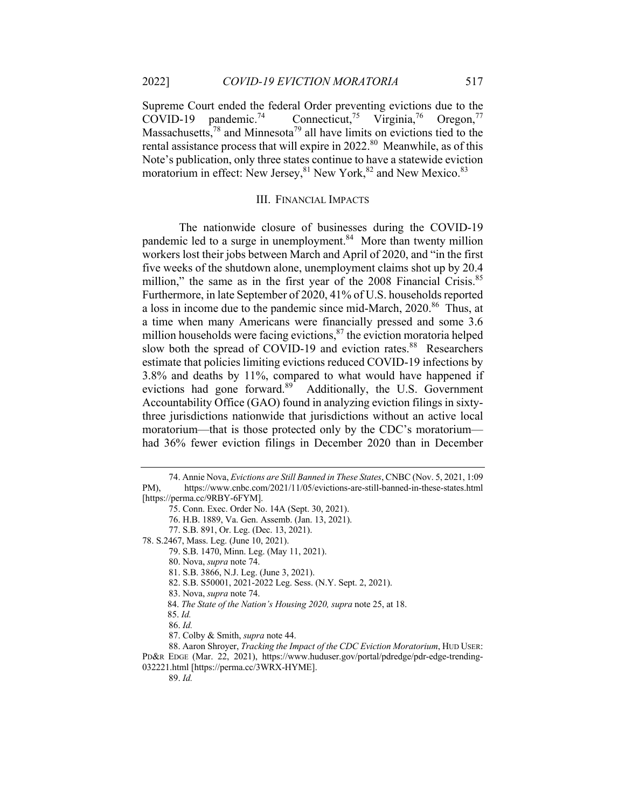Supreme Court ended the federal Order preventing evictions due to the  $COVID-19$  pandemic.<sup>74</sup>  $^{75}$  Virginia,  $^{76}$  Oregon,  $^{77}$ Massachusetts,<sup>78</sup> and Minnesota<sup>79</sup> all have limits on evictions tied to the rental assistance process that will expire in 2022.<sup>80</sup> Meanwhile, as of this Note's publication, only three states continue to have a statewide eviction moratorium in effect: New Jersey, <sup>81</sup> New York, <sup>82</sup> and New Mexico. 83

#### III. FINANCIAL IMPACTS

The nationwide closure of businesses during the COVID-19 pandemic led to a surge in unemployment.<sup>84</sup> More than twenty million workers lost their jobs between March and April of 2020, and "in the first five weeks of the shutdown alone, unemployment claims shot up by 20.4 million," the same as in the first year of the 2008 Financial Crisis.<sup>85</sup> Furthermore, in late September of 2020, 41% of U.S. households reported a loss in income due to the pandemic since mid-March, 2020.86 Thus, at a time when many Americans were financially pressed and some 3.6 million households were facing evictions, $87$  the eviction moratoria helped slow both the spread of COVID-19 and eviction rates.<sup>88</sup> Researchers estimate that policies limiting evictions reduced COVID-19 infections by 3.8% and deaths by 11%, compared to what would have happened if evictions had gone forward.<sup>89</sup> Additionally, the U.S. Government Accountability Office (GAO) found in analyzing eviction filings in sixtythree jurisdictions nationwide that jurisdictions without an active local moratorium—that is those protected only by the CDC's moratorium had 36% fewer eviction filings in December 2020 than in December

78. S.2467, Mass. Leg. (June 10, 2021).

79. S.B. 1470, Minn. Leg. (May 11, 2021).

- 81. S.B. 3866, N.J. Leg. (June 3, 2021).
- 82. S.B. S50001, 2021-2022 Leg. Sess. (N.Y. Sept. 2, 2021).
- 83. Nova, *supra* note 74.

89. *Id.*

<sup>74.</sup> Annie Nova, *Evictions are Still Banned in These States*, CNBC (Nov. 5, 2021, 1:09 PM), https://www.cnbc.com/2021/11/05/evictions-are-still-banned-in-these-states.html [https://perma.cc/9RBY-6FYM].

<sup>75.</sup> Conn. Exec. Order No. 14A (Sept. 30, 2021).

<sup>76.</sup> H.B. 1889, Va. Gen. Assemb. (Jan. 13, 2021).

<sup>77.</sup> S.B. 891, Or. Leg. (Dec. 13, 2021).

<sup>80.</sup> Nova, *supra* note 74.

 <sup>84.</sup> *The State of the Nation's Housing 2020, supra* note 25, at 18.

 <sup>85.</sup> *Id.* 

<sup>86.</sup> *Id.* 

<sup>87.</sup> Colby & Smith, *supra* note 44.

<sup>88.</sup> Aaron Shroyer, *Tracking the Impact of the CDC Eviction Moratorium*, HUD USER: PD&R EDGE (Mar. 22, 2021), https://www.huduser.gov/portal/pdredge/pdr-edge-trending-032221.html [https://perma.cc/3WRX-HYME].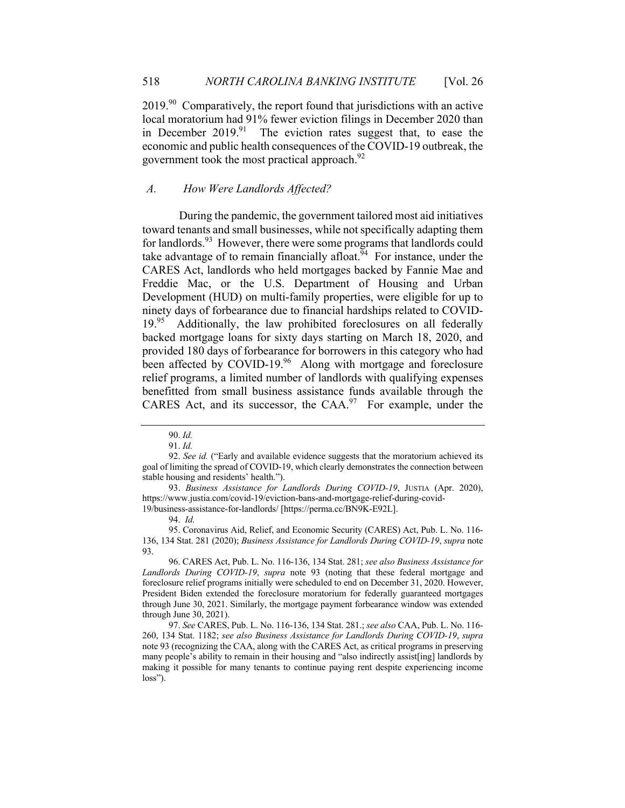$2019.^{90}$  Comparatively, the report found that jurisdictions with an active local moratorium had 91% fewer eviction filings in December 2020 than in December 2019.<sup>91</sup> The eviction rates suggest that, to ease the economic and public health consequences of the COVID-19 outbreak, the government took the most practical approach.<sup>92</sup>

#### *A. How Were Landlords Affected?*

During the pandemic, the government tailored most aid initiatives toward tenants and small businesses, while not specifically adapting them for landlords.<sup>93</sup> However, there were some programs that landlords could take advantage of to remain financially affoat.<sup> $\bar{9}4$ </sup> For instance, under the CARES Act, landlords who held mortgages backed by Fannie Mae and Freddie Mac, or the U.S. Department of Housing and Urban Development (HUD) on multi-family properties, were eligible for up to ninety days of forbearance due to financial hardships related to COVID-19.95 Additionally, the law prohibited foreclosures on all federally backed mortgage loans for sixty days starting on March 18, 2020, and provided 180 days of forbearance for borrowers in this category who had been affected by COVID-19.<sup>96</sup> Along with mortgage and foreclosure relief programs, a limited number of landlords with qualifying expenses benefitted from small business assistance funds available through the CARES Act, and its successor, the CAA.<sup>97</sup> For example, under the

<sup>90.</sup> *Id.*

<sup>91.</sup> *Id.*

<sup>92.</sup> *See id.* ("Early and available evidence suggests that the moratorium achieved its goal of limiting the spread of COVID-19, which clearly demonstrates the connection between stable housing and residents' health.").

<sup>93.</sup> *Business Assistance for Landlords During COVID-19*, JUSTIA (Apr. 2020), https://www.justia.com/covid-19/eviction-bans-and-mortgage-relief-during-covid-19/business-assistance-for-landlords/ [https://perma.cc/BN9K-E92L].

<sup>94.</sup> *Id.*

<sup>95.</sup> Coronavirus Aid, Relief, and Economic Security (CARES) Act, Pub. L. No. 116- 136, 134 Stat. 281 (2020); *Business Assistance for Landlords During COVID-19*, *supra* note 93.

<sup>96.</sup> CARES Act, Pub. L. No. 116-136, 134 Stat. 281; *see also Business Assistance for Landlords During COVID-19*, *supra* note 93 (noting that these federal mortgage and foreclosure relief programs initially were scheduled to end on December 31, 2020. However, President Biden extended the foreclosure moratorium for federally guaranteed mortgages through June 30, 2021. Similarly, the mortgage payment forbearance window was extended through June 30, 2021).

<sup>97.</sup> *See* CARES, Pub. L. No. 116-136, 134 Stat. 281.; *see also* CAA, Pub. L. No. 116- 260, 134 Stat. 1182; *see also Business Assistance for Landlords During COVID-19*, *supra*  note 93 (recognizing the CAA, along with the CARES Act, as critical programs in preserving many people's ability to remain in their housing and "also indirectly assist[ing] landlords by making it possible for many tenants to continue paying rent despite experiencing income loss").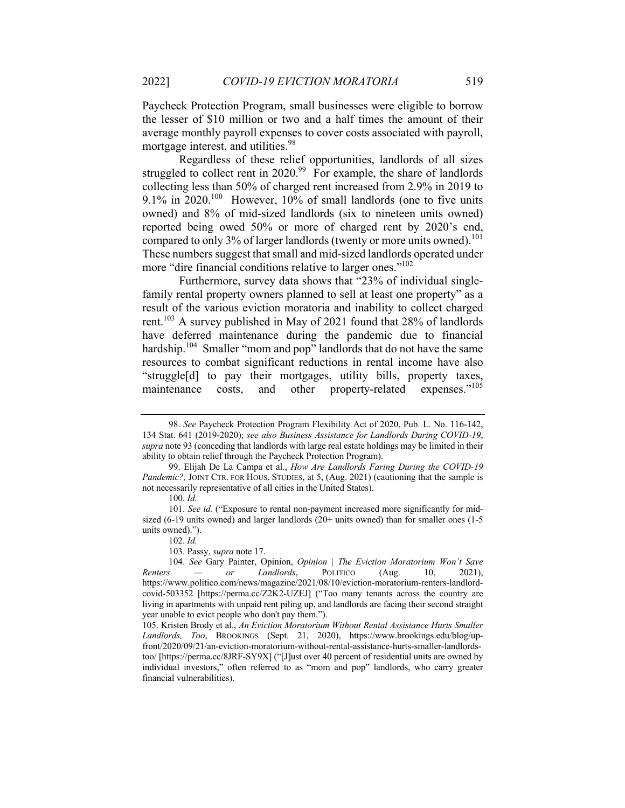Paycheck Protection Program, small businesses were eligible to borrow the lesser of \$10 million or two and a half times the amount of their average monthly payroll expenses to cover costs associated with payroll, mortgage interest, and utilities.<sup>98</sup>

Regardless of these relief opportunities, landlords of all sizes struggled to collect rent in  $2020.^{99}$  For example, the share of landlords collecting less than 50% of charged rent increased from 2.9% in 2019 to 9.1% in  $2020$ <sup>100</sup> However, 10% of small landlords (one to five units owned) and 8% of mid-sized landlords (six to nineteen units owned) reported being owed 50% or more of charged rent by 2020's end, compared to only 3% of larger landlords (twenty or more units owned).<sup>101</sup> These numbers suggest that small and mid-sized landlords operated under more "dire financial conditions relative to larger ones."<sup>102</sup>

Furthermore, survey data shows that "23% of individual singlefamily rental property owners planned to sell at least one property" as a result of the various eviction moratoria and inability to collect charged rent.<sup>103</sup> A survey published in May of 2021 found that  $28\%$  of landlords have deferred maintenance during the pandemic due to financial hardship.<sup>104</sup> Smaller "mom and pop" landlords that do not have the same resources to combat significant reductions in rental income have also "struggle[d] to pay their mortgages, utility bills, property taxes, maintenance costs, and other property-related expenses."<sup>105</sup>

<sup>98.</sup> *See* Paycheck Protection Program Flexibility Act of 2020, Pub. L. No. 116-142, 134 Stat. 641 (2019-2020); *see also Business Assistance for Landlords During COVID-19*, *supra* note 93 (conceding that landlords with large real estate holdings may be limited in their ability to obtain relief through the Paycheck Protection Program).

<sup>99.</sup> Elijah De La Campa et al., *How Are Landlords Faring During the COVID-19 Pandemic?, JOINT CTR. FOR HOUS. STUDIES, at 5, (Aug. 2021) (cautioning that the sample is* not necessarily representative of all cities in the United States).

<sup>100.</sup> *Id.* 

<sup>101.</sup> *See id.* ("Exposure to rental non-payment increased more significantly for midsized (6-19 units owned) and larger landlords (20+ units owned) than for smaller ones (1-5 units owned).").

<sup>102.</sup> *Id.*

<sup>103</sup>*.* Passy, *supra* note 17.

<sup>104.</sup> *See* Gary Painter, Opinion, *Opinion | The Eviction Moratorium Won't Save Renters — or Landlords*, POLITICO (Aug. 10, 2021), https://www.politico.com/news/magazine/2021/08/10/eviction-moratorium-renters-landlordcovid-503352 [https://perma.cc/Z2K2-UZEJ] ("Too many tenants across the country are living in apartments with unpaid rent piling up, and landlords are facing their second straight year unable to evict people who don't pay them.").

<sup>105.</sup> Kristen Brody et al., *An Eviction Moratorium Without Rental Assistance Hurts Smaller Landlords, Too*, BROOKINGS (Sept. 21, 2020), https://www.brookings.edu/blog/upfront/2020/09/21/an-eviction-moratorium-without-rental-assistance-hurts-smaller-landlordstoo/ [https://perma.cc/8JRF-SY9X] ("[J]ust over 40 percent of residential units are owned by individual investors," often referred to as "mom and pop" landlords, who carry greater financial vulnerabilities).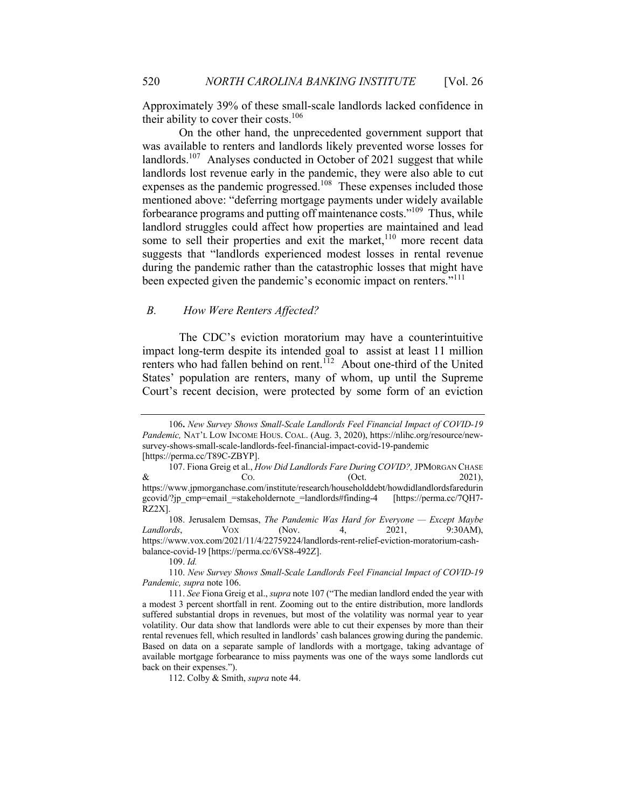Approximately 39% of these small-scale landlords lacked confidence in their ability to cover their costs. $106$ 

On the other hand, the unprecedented government support that was available to renters and landlords likely prevented worse losses for landlords.<sup>107</sup> Analyses conducted in October of 2021 suggest that while landlords lost revenue early in the pandemic, they were also able to cut expenses as the pandemic progressed.<sup>108</sup> These expenses included those mentioned above: "deferring mortgage payments under widely available forbearance programs and putting off maintenance costs."109 Thus, while landlord struggles could affect how properties are maintained and lead some to sell their properties and exit the market, $110$  more recent data suggests that "landlords experienced modest losses in rental revenue during the pandemic rather than the catastrophic losses that might have been expected given the pandemic's economic impact on renters."<sup>111</sup>

## *B. How Were Renters Affected?*

The CDC's eviction moratorium may have a counterintuitive impact long-term despite its intended goal to assist at least 11 million renters who had fallen behind on rent.<sup>112</sup> About one-third of the United States' population are renters, many of whom, up until the Supreme Court's recent decision, were protected by some form of an eviction

109. *Id.*

110. *New Survey Shows Small-Scale Landlords Feel Financial Impact of COVID-19 Pandemic, supra* note 106.

112. Colby & Smith, *supra* note 44.

<sup>106</sup>**.** *New Survey Shows Small-Scale Landlords Feel Financial Impact of COVID-19 Pandemic,* NAT'L LOW INCOME HOUS. COAL. (Aug. 3, 2020), https://nlihc.org/resource/newsurvey-shows-small-scale-landlords-feel-financial-impact-covid-19-pandemic [https://perma.cc/T89C-ZBYP].

<sup>107.</sup> Fiona Greig et al., *How Did Landlords Fare During COVID?,* JPMORGAN CHASE  $\&$  Co.  $\&$  (Oct. 2021), https://www.jpmorganchase.com/institute/research/householddebt/howdidlandlordsfaredurin gcovid/?jp\_cmp=email\_=stakeholdernote\_=landlords#finding-4 [https://perma.cc/7QH7- RZ2X].

<sup>108.</sup> Jerusalem Demsas, *The Pandemic Was Hard for Everyone — Except Maybe Landlords*, VOX (Nov. 4, 2021, 9:30AM), https://www.vox.com/2021/11/4/22759224/landlords-rent-relief-eviction-moratorium-cashbalance-covid-19 [https://perma.cc/6VS8-492Z].

<sup>111.</sup> *See* Fiona Greig et al., *supra* note 107 ("The median landlord ended the year with a modest 3 percent shortfall in rent. Zooming out to the entire distribution, more landlords suffered substantial drops in revenues, but most of the volatility was normal year to year volatility. Our data show that landlords were able to cut their expenses by more than their rental revenues fell, which resulted in landlords' cash balances growing during the pandemic. Based on data on a separate sample of landlords with a mortgage, taking advantage of available mortgage forbearance to miss payments was one of the ways some landlords cut back on their expenses.").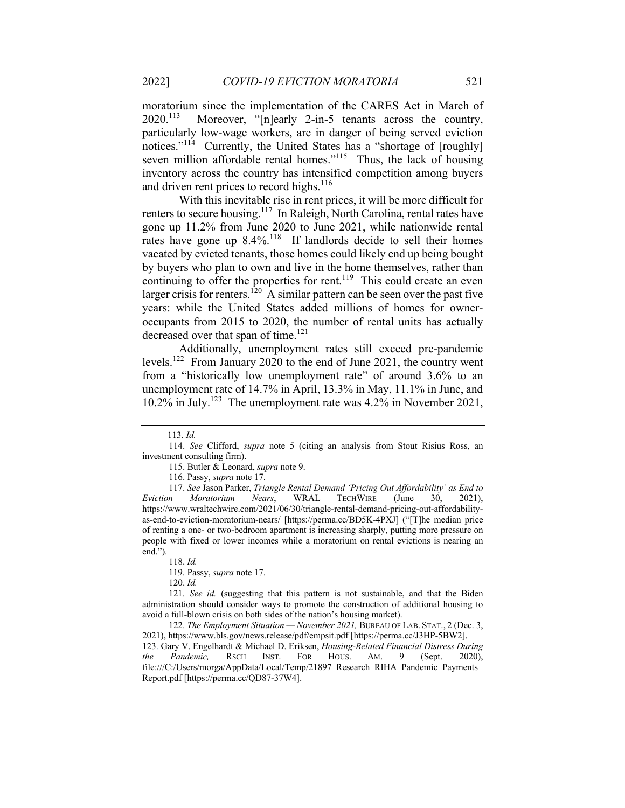moratorium since the implementation of the CARES Act in March of 2020.113 Moreover, "[n]early 2-in-5 tenants across the country, particularly low-wage workers, are in danger of being served eviction notices."<sup>114</sup> Currently, the United States has a "shortage of [roughly] seven million affordable rental homes."<sup>115</sup> Thus, the lack of housing inventory across the country has intensified competition among buyers and driven rent prices to record highs. $116$ 

With this inevitable rise in rent prices, it will be more difficult for renters to secure housing.<sup>117</sup> In Raleigh, North Carolina, rental rates have gone up 11.2% from June 2020 to June 2021, while nationwide rental rates have gone up  $8.4\%$ <sup>118</sup> If landlords decide to sell their homes vacated by evicted tenants, those homes could likely end up being bought by buyers who plan to own and live in the home themselves, rather than continuing to offer the properties for rent.<sup>119</sup> This could create an even larger crisis for renters.<sup>120</sup> A similar pattern can be seen over the past five years: while the United States added millions of homes for owneroccupants from 2015 to 2020, the number of rental units has actually decreased over that span of time.<sup>121</sup>

Additionally, unemployment rates still exceed pre-pandemic levels.122 From January 2020 to the end of June 2021, the country went from a "historically low unemployment rate" of around 3.6% to an unemployment rate of 14.7% in April, 13.3% in May, 11.1% in June, and 10.2% in July.123 The unemployment rate was 4.2% in November 2021,

120. *Id.*

121*. See id.* (suggesting that this pattern is not sustainable, and that the Biden administration should consider ways to promote the construction of additional housing to avoid a full-blown crisis on both sides of the nation's housing market).

122. *The Employment Situation — November 2021,* BUREAU OF LAB. STAT., 2 (Dec. 3, 2021), https://www.bls.gov/news.release/pdf/empsit.pdf [https://perma.cc/J3HP-5BW2]. 123. Gary V. Engelhardt & Michael D. Eriksen, *Housing-Related Financial Distress During the Pandemic,* RSCH INST. FOR HOUS. AM. 9 (Sept. 2020), file:///C:/Users/morga/AppData/Local/Temp/21897\_Research\_RIHA\_Pandemic\_Payments\_ Report.pdf [https://perma.cc/QD87-37W4].

 <sup>113.</sup> *Id.* 

<sup>114.</sup> *See* Clifford, *supra* note 5 (citing an analysis from Stout Risius Ross, an investment consulting firm).

<sup>115.</sup> Butler & Leonard, *supra* note 9.

<sup>116.</sup> Passy, *supra* note 17.

<sup>117.</sup> *See* Jason Parker, *Triangle Rental Demand 'Pricing Out Affordability' as End to Eviction Moratorium Nears*, WRAL TECHWIRE (June 30, 2021), https://www.wraltechwire.com/2021/06/30/triangle-rental-demand-pricing-out-affordabilityas-end-to-eviction-moratorium-nears/ [https://perma.cc/BD5K-4PXJ] ("[T]he median price of renting a one- or two-bedroom apartment is increasing sharply, putting more pressure on people with fixed or lower incomes while a moratorium on rental evictions is nearing an end.").

<sup>118.</sup> *Id.*

<sup>119</sup>*.* Passy, *supra* note 17.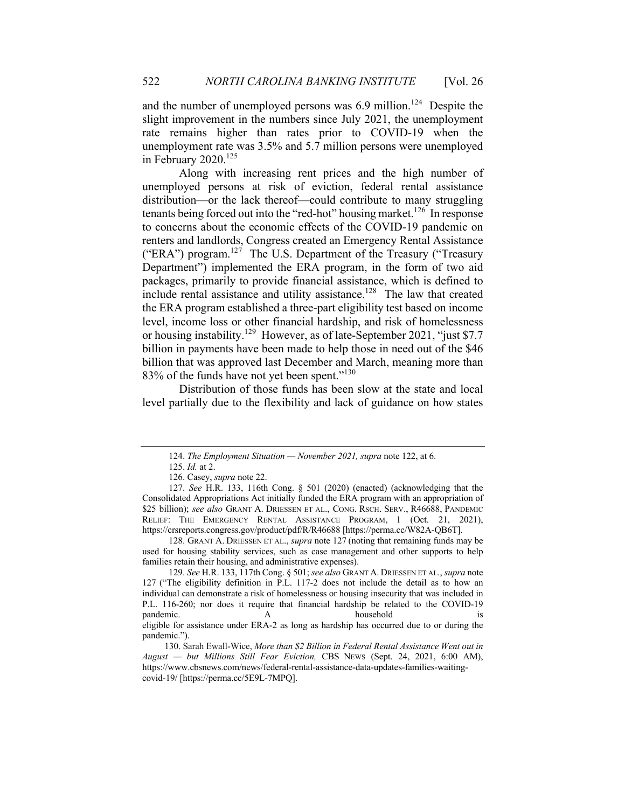and the number of unemployed persons was  $6.9$  million.<sup>124</sup> Despite the slight improvement in the numbers since July 2021, the unemployment rate remains higher than rates prior to COVID-19 when the unemployment rate was 3.5% and 5.7 million persons were unemployed in February  $2020$ <sup>125</sup>

Along with increasing rent prices and the high number of unemployed persons at risk of eviction, federal rental assistance distribution—or the lack thereof—could contribute to many struggling tenants being forced out into the "red-hot" housing market.<sup>126</sup> In response to concerns about the economic effects of the COVID-19 pandemic on renters and landlords, Congress created an Emergency Rental Assistance ("ERA") program.<sup>127</sup> The U.S. Department of the Treasury ("Treasury") Department") implemented the ERA program, in the form of two aid packages, primarily to provide financial assistance, which is defined to include rental assistance and utility assistance.<sup>128</sup> The law that created the ERA program established a three-part eligibility test based on income level, income loss or other financial hardship, and risk of homelessness or housing instability.129 However, as of late-September 2021, "just \$7.7 billion in payments have been made to help those in need out of the \$46 billion that was approved last December and March, meaning more than 83% of the funds have not yet been spent."<sup>130</sup>

Distribution of those funds has been slow at the state and local level partially due to the flexibility and lack of guidance on how states

128. GRANT A. DRIESSEN ET AL., *supra* note 127 (noting that remaining funds may be used for housing stability services, such as case management and other supports to help families retain their housing, and administrative expenses).

<sup>124.</sup> *The Employment Situation — November 2021, supra* note 122, at 6.

<sup>125.</sup> *Id.* at 2.

<sup>126.</sup> Casey, *supra* note 22.

<sup>127.</sup> *See* H.R. 133, 116th Cong. § 501 (2020) (enacted) (acknowledging that the Consolidated Appropriations Act initially funded the ERA program with an appropriation of \$25 billion); *see also* GRANT A. DRIESSEN ET AL., CONG. RSCH. SERV., R46688, PANDEMIC RELIEF: THE EMERGENCY RENTAL ASSISTANCE PROGRAM, 1 (Oct. 21, 2021), https://crsreports.congress.gov/product/pdf/R/R46688 [https://perma.cc/W82A-QB6T].

<sup>129.</sup> *See* H.R. 133, 117th Cong. § 501; *see also* GRANT A. DRIESSEN ET AL., *supra* note 127 ("The eligibility definition in P.L. 117-2 does not include the detail as to how an individual can demonstrate a risk of homelessness or housing insecurity that was included in P.L. 116-260; nor does it require that financial hardship be related to the COVID-19 pandemic. A household is eligible for assistance under ERA-2 as long as hardship has occurred due to or during the pandemic.").

130. Sarah Ewall-Wice, *More than \$2 Billion in Federal Rental Assistance Went out in August — but Millions Still Fear Eviction,* CBS NEWS (Sept. 24, 2021, 6:00 AM), https://www.cbsnews.com/news/federal-rental-assistance-data-updates-families-waitingcovid-19/ [https://perma.cc/5E9L-7MPQ].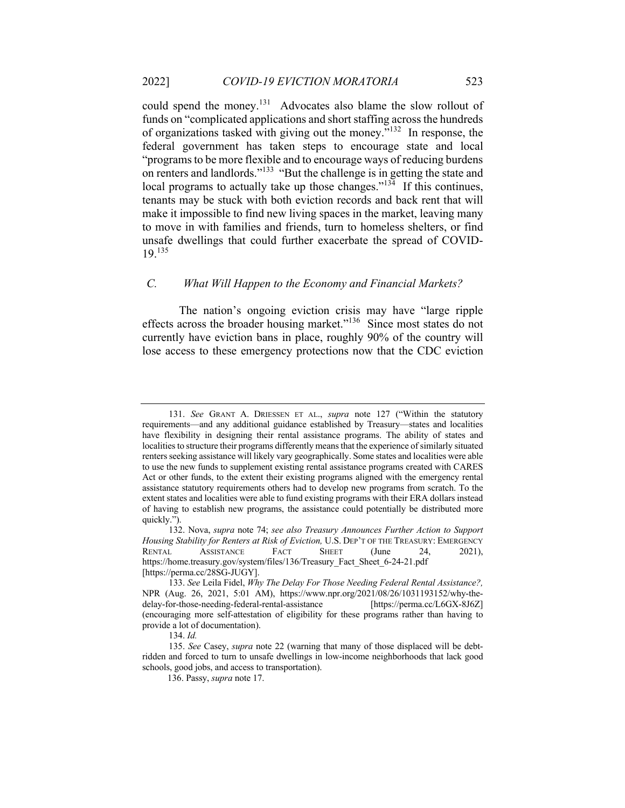could spend the money.<sup>131</sup> Advocates also blame the slow rollout of funds on "complicated applications and short staffing across the hundreds of organizations tasked with giving out the money."132 In response, the federal government has taken steps to encourage state and local "programs to be more flexible and to encourage ways of reducing burdens on renters and landlords."133 "But the challenge is in getting the state and local programs to actually take up those changes."<sup>134</sup> If this continues, tenants may be stuck with both eviction records and back rent that will make it impossible to find new living spaces in the market, leaving many to move in with families and friends, turn to homeless shelters, or find unsafe dwellings that could further exacerbate the spread of COVID-19.<sup>135</sup>

# *C. What Will Happen to the Economy and Financial Markets?*

The nation's ongoing eviction crisis may have "large ripple effects across the broader housing market."136 Since most states do not currently have eviction bans in place, roughly 90% of the country will lose access to these emergency protections now that the CDC eviction

<sup>131.</sup> *See* GRANT A. DRIESSEN ET AL., *supra* note 127 ("Within the statutory requirements—and any additional guidance established by Treasury—states and localities have flexibility in designing their rental assistance programs. The ability of states and localities to structure their programs differently means that the experience of similarly situated renters seeking assistance will likely vary geographically. Some states and localities were able to use the new funds to supplement existing rental assistance programs created with CARES Act or other funds, to the extent their existing programs aligned with the emergency rental assistance statutory requirements others had to develop new programs from scratch. To the extent states and localities were able to fund existing programs with their ERA dollars instead of having to establish new programs, the assistance could potentially be distributed more quickly.").

<sup>132.</sup> Nova, *supra* note 74; *see also Treasury Announces Further Action to Support Housing Stability for Renters at Risk of Eviction,* U.S. DEP'T OF THE TREASURY: EMERGENCY RENTAL ASSISTANCE FACT SHEET (June 24, 2021), https://home.treasury.gov/system/files/136/Treasury\_Fact\_Sheet\_6-24-21.pdf [https://perma.cc/28SG-JUGY].

<sup>133.</sup> *See* Leila Fidel, *Why The Delay For Those Needing Federal Rental Assistance?,* NPR (Aug. 26, 2021, 5:01 AM), https://www.npr.org/2021/08/26/1031193152/why-thedelay-for-those-needing-federal-rental-assistance [https://perma.cc/L6GX-8J6Z] (encouraging more self-attestation of eligibility for these programs rather than having to provide a lot of documentation).

<sup>134.</sup> *Id.*

<sup>135.</sup> *See* Casey, *supra* note 22 (warning that many of those displaced will be debtridden and forced to turn to unsafe dwellings in low-income neighborhoods that lack good schools, good jobs, and access to transportation).

 <sup>136.</sup> Passy, *supra* note 17.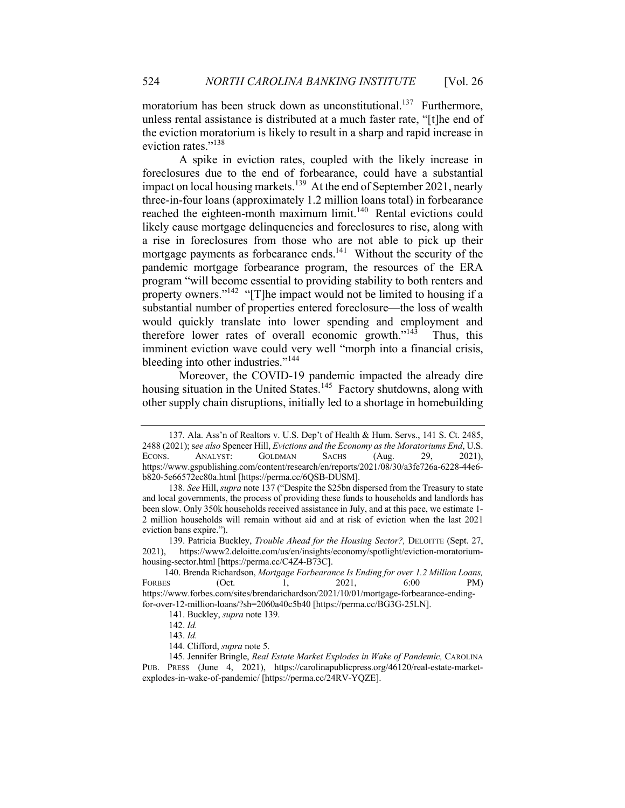moratorium has been struck down as unconstitutional.<sup>137</sup> Furthermore, unless rental assistance is distributed at a much faster rate, "[t]he end of the eviction moratorium is likely to result in a sharp and rapid increase in eviction rates."<sup>138</sup>

A spike in eviction rates, coupled with the likely increase in foreclosures due to the end of forbearance, could have a substantial impact on local housing markets.<sup>139</sup> At the end of September 2021, nearly three-in-four loans (approximately 1.2 million loans total) in forbearance reached the eighteen-month maximum limit.<sup>140</sup> Rental evictions could likely cause mortgage delinquencies and foreclosures to rise, along with a rise in foreclosures from those who are not able to pick up their mortgage payments as forbearance ends.<sup>141</sup> Without the security of the pandemic mortgage forbearance program, the resources of the ERA program "will become essential to providing stability to both renters and property owners."<sup>142</sup> "[T]he impact would not be limited to housing if a substantial number of properties entered foreclosure—the loss of wealth would quickly translate into lower spending and employment and therefore lower rates of overall economic growth." $143$  Thus, this imminent eviction wave could very well "morph into a financial crisis, bleeding into other industries."<sup>144</sup>

Moreover, the COVID-19 pandemic impacted the already dire housing situation in the United States.<sup>145</sup> Factory shutdowns, along with other supply chain disruptions, initially led to a shortage in homebuilding

<sup>137</sup>*.* Ala. Ass'n of Realtors v. U.S. Dep't of Health & Hum. Servs., 141 S. Ct. 2485, 2488 (2021); s*ee also* Spencer Hill, *Evictions and the Economy as the Moratoriums End*, U.S. ECONS. ANALYST: GOLDMAN SACHS (Aug. 29, 2021), https://www.gspublishing.com/content/research/en/reports/2021/08/30/a3fe726a-6228-44e6 b820-5e66572ec80a.html [https://perma.cc/6QSB-DUSM].

<sup>138.</sup> *See* Hill, *supra* note 137 ("Despite the \$25bn dispersed from the Treasury to state and local governments, the process of providing these funds to households and landlords has been slow. Only 350k households received assistance in July, and at this pace, we estimate 1- 2 million households will remain without aid and at risk of eviction when the last 2021 eviction bans expire.").

<sup>139.</sup> Patricia Buckley, *Trouble Ahead for the Housing Sector?,* DELOITTE (Sept. 27, 2021), https://www2.deloitte.com/us/en/insights/economy/spotlight/eviction-moratoriumhousing-sector.html [https://perma.cc/C4Z4-B73C].

140. Brenda Richardson, *Mortgage Forbearance Is Ending for over 1.2 Million Loans,*  FORBES (Oct. 1, 2021, 6:00 PM) https://www.forbes.com/sites/brendarichardson/2021/10/01/mortgage-forbearance-endingfor-over-12-million-loans/?sh=2060a40c5b40 [https://perma.cc/BG3G-25LN].

<sup>141.</sup> Buckley, *supra* note 139.

<sup>142.</sup> *Id.*

<sup>143.</sup> *Id.*

<sup>144.</sup> Clifford, *supra* note 5.

<sup>145.</sup> Jennifer Bringle, *Real Estate Market Explodes in Wake of Pandemic,* CAROLINA PUB. PRESS (June 4, 2021), https://carolinapublicpress.org/46120/real-estate-marketexplodes-in-wake-of-pandemic/ [https://perma.cc/24RV-YQZE].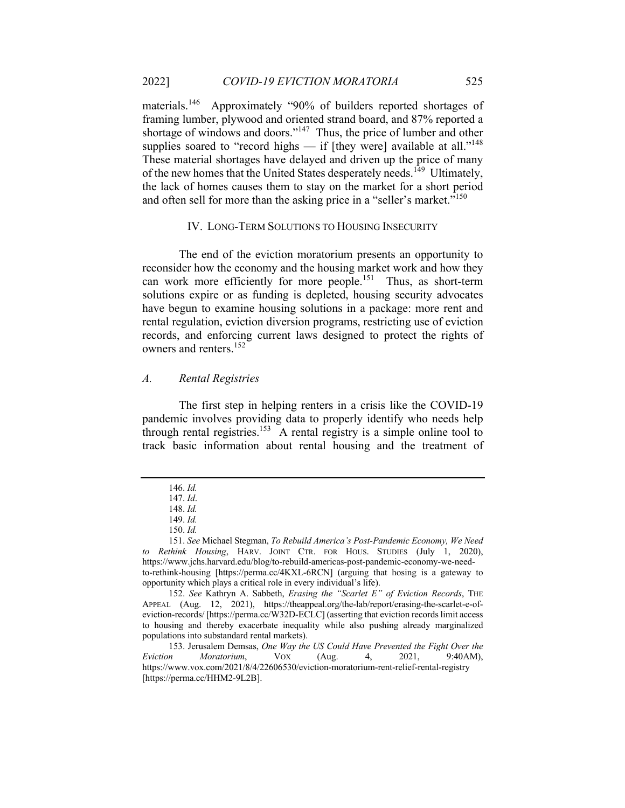materials.<sup>146</sup> Approximately "90% of builders reported shortages of framing lumber, plywood and oriented strand board, and 87% reported a shortage of windows and doors."<sup>147</sup> Thus, the price of lumber and other supplies soared to "record highs — if [they were] available at all."<sup>148</sup> These material shortages have delayed and driven up the price of many of the new homes that the United States desperately needs.<sup>149</sup> Ultimately, the lack of homes causes them to stay on the market for a short period and often sell for more than the asking price in a "seller's market."<sup>150</sup>

#### IV. LONG-TERM SOLUTIONS TO HOUSING INSECURITY

The end of the eviction moratorium presents an opportunity to reconsider how the economy and the housing market work and how they can work more efficiently for more people.<sup>151</sup> Thus, as short-term solutions expire or as funding is depleted, housing security advocates have begun to examine housing solutions in a package: more rent and rental regulation, eviction diversion programs, restricting use of eviction records, and enforcing current laws designed to protect the rights of owners and renters.<sup>152</sup>

#### *A. Rental Registries*

The first step in helping renters in a crisis like the COVID-19 pandemic involves providing data to properly identify who needs help through rental registries.<sup>153</sup> A rental registry is a simple online tool to track basic information about rental housing and the treatment of

<sup>146.</sup> *Id.*

<sup>147.</sup> *Id*.

<sup>148.</sup> *Id.*

<sup>149.</sup> *Id.*

<sup>150.</sup> *Id.*

<sup>151.</sup> *See* Michael Stegman, *To Rebuild America's Post-Pandemic Economy, We Need to Rethink Housing*, HARV. JOINT CTR. FOR HOUS. STUDIES (July 1, 2020), https://www.jchs.harvard.edu/blog/to-rebuild-americas-post-pandemic-economy-we-needto-rethink-housing [https://perma.cc/4KXL-6RCN] (arguing that hosing is a gateway to opportunity which plays a critical role in every individual's life).

<sup>152.</sup> *See* Kathryn A. Sabbeth, *Erasing the "Scarlet E" of Eviction Records*, THE APPEAL (Aug. 12, 2021), https://theappeal.org/the-lab/report/erasing-the-scarlet-e-ofeviction-records/ [https://perma.cc/W32D-ECLC] (asserting that eviction records limit access to housing and thereby exacerbate inequality while also pushing already marginalized populations into substandard rental markets).

<sup>153.</sup> Jerusalem Demsas, *One Way the US Could Have Prevented the Fight Over the Eviction Moratorium*, VOX (Aug. 4, 2021, 9:40AM), https://www.vox.com/2021/8/4/22606530/eviction-moratorium-rent-relief-rental-registry [https://perma.cc/HHM2-9L2B].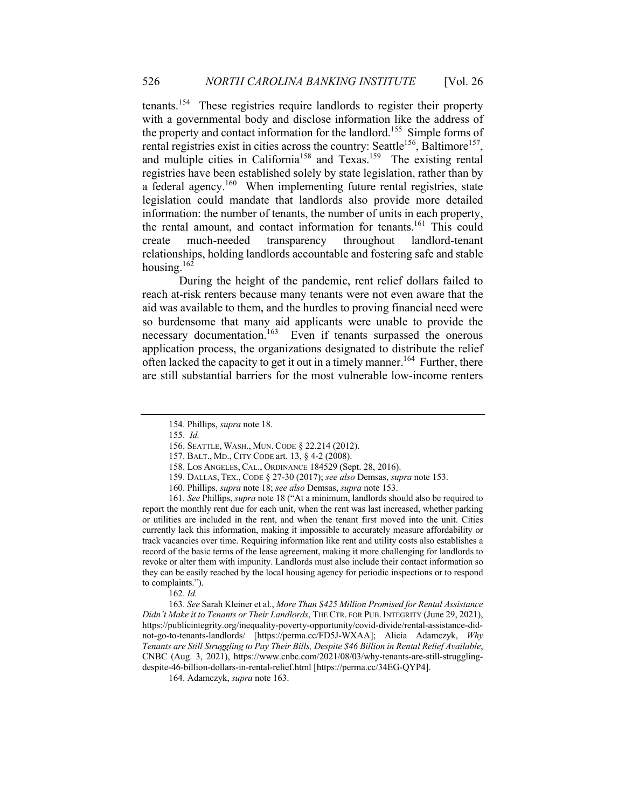tenants.154 These registries require landlords to register their property with a governmental body and disclose information like the address of the property and contact information for the landlord.<sup>155</sup> Simple forms of rental registries exist in cities across the country: Seattle<sup>156</sup>, Baltimore<sup>157</sup>, and multiple cities in California<sup>158</sup> and Texas.<sup>159</sup> The existing rental registries have been established solely by state legislation, rather than by a federal agency.<sup>160</sup> When implementing future rental registries, state legislation could mandate that landlords also provide more detailed information: the number of tenants, the number of units in each property, the rental amount, and contact information for tenants.<sup>161</sup> This could create much-needed transparency throughout landlord-tenant relationships, holding landlords accountable and fostering safe and stable housing.<sup>162</sup>

During the height of the pandemic, rent relief dollars failed to reach at-risk renters because many tenants were not even aware that the aid was available to them, and the hurdles to proving financial need were so burdensome that many aid applicants were unable to provide the necessary documentation.<sup>163</sup> Even if tenants surpassed the onerous application process, the organizations designated to distribute the relief often lacked the capacity to get it out in a timely manner.<sup>164</sup> Further, there are still substantial barriers for the most vulnerable low-income renters

163. *See* Sarah Kleiner et al., *More Than \$425 Million Promised for Rental Assistance Didn't Make it to Tenants or Their Landlords*, THE CTR. FOR PUB. INTEGRITY (June 29, 2021), https://publicintegrity.org/inequality-poverty-opportunity/covid-divide/rental-assistance-didnot-go-to-tenants-landlords/ [https://perma.cc/FD5J-WXAA]; Alicia Adamczyk, *Why Tenants are Still Struggling to Pay Their Bills, Despite \$46 Billion in Rental Relief Available*, CNBC (Aug. 3, 2021), https://www.cnbc.com/2021/08/03/why-tenants-are-still-strugglingdespite-46-billion-dollars-in-rental-relief.html [https://perma.cc/34EG-QYP4].

164. Adamczyk, *supra* note 163.

<sup>154.</sup> Phillips, *supra* note 18.

<sup>155.</sup> *Id.* 

<sup>156.</sup> SEATTLE, WASH., MUN. CODE § 22.214 (2012).

<sup>157.</sup> BALT., MD., CITY CODE art. 13, § 4-2 (2008).

<sup>158.</sup> LOS ANGELES, CAL., ORDINANCE 184529 (Sept. 28, 2016).

<sup>159.</sup> DALLAS, TEX., CODE § 27-30 (2017); *see also* Demsas, *supra* note 153.

<sup>160.</sup> Phillips, *supra* note 18; *see also* Demsas, *supra* note 153.

<sup>161.</sup> *See* Phillips, *supra* note 18 ("At a minimum, landlords should also be required to report the monthly rent due for each unit, when the rent was last increased, whether parking or utilities are included in the rent, and when the tenant first moved into the unit. Cities currently lack this information, making it impossible to accurately measure affordability or track vacancies over time. Requiring information like rent and utility costs also establishes a record of the basic terms of the lease agreement, making it more challenging for landlords to revoke or alter them with impunity. Landlords must also include their contact information so they can be easily reached by the local housing agency for periodic inspections or to respond to complaints.").

<sup>162.</sup> *Id.*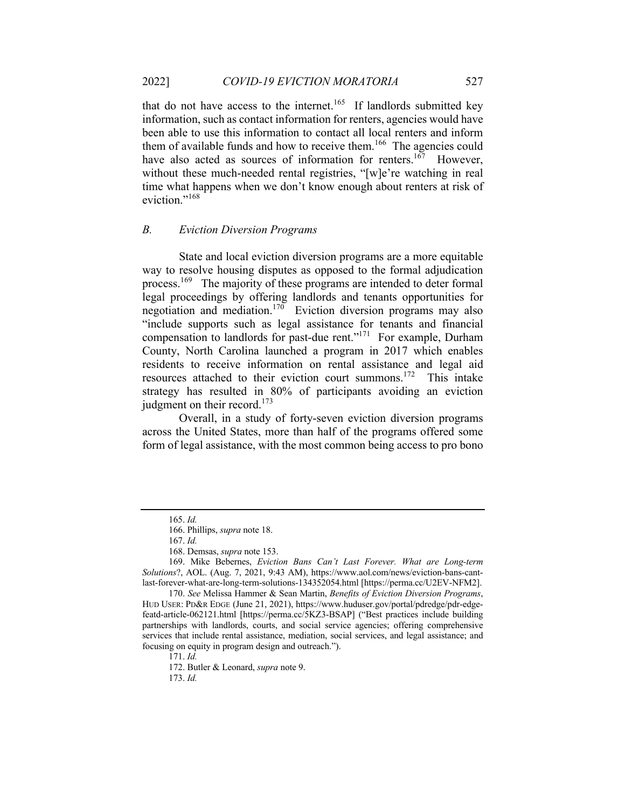that do not have access to the internet.<sup>165</sup> If landlords submitted key information, such as contact information for renters, agencies would have been able to use this information to contact all local renters and inform them of available funds and how to receive them.<sup>166</sup> The agencies could have also acted as sources of information for renters.<sup>167</sup> However, without these much-needed rental registries, "[w]e're watching in real time what happens when we don't know enough about renters at risk of eviction."<sup>168</sup>

# *B. Eviction Diversion Programs*

State and local eviction diversion programs are a more equitable way to resolve housing disputes as opposed to the formal adjudication process.<sup>169</sup> The majority of these programs are intended to deter formal legal proceedings by offering landlords and tenants opportunities for negotiation and mediation.<sup>170</sup> Eviction diversion programs may also "include supports such as legal assistance for tenants and financial compensation to landlords for past-due rent."171 For example, Durham County, North Carolina launched a program in 2017 which enables residents to receive information on rental assistance and legal aid resources attached to their eviction court summons.172 This intake strategy has resulted in 80% of participants avoiding an eviction judgment on their record.<sup>173</sup>

Overall, in a study of forty-seven eviction diversion programs across the United States, more than half of the programs offered some form of legal assistance, with the most common being access to pro bono

171. *Id.*

172. Butler & Leonard, *supra* note 9.

173. *Id.*

<sup>165.</sup> *Id.* 

<sup>166.</sup> Phillips, *supra* note 18.

<sup>167.</sup> *Id.* 

<sup>168.</sup> Demsas, *supra* note 153.

<sup>169.</sup> Mike Bebernes, *Eviction Bans Can't Last Forever. What are Long-term Solutions*?, AOL. (Aug. 7, 2021, 9:43 AM), https://www.aol.com/news/eviction-bans-cantlast-forever-what-are-long-term-solutions-134352054.html [https://perma.cc/U2EV-NFM2].

<sup>170.</sup> *See* Melissa Hammer & Sean Martin, *Benefits of Eviction Diversion Programs*, HUD USER: PD&R EDGE (June 21, 2021), https://www.huduser.gov/portal/pdredge/pdr-edgefeatd-article-062121.html [https://perma.cc/5KZ3-BSAP] ("Best practices include building partnerships with landlords, courts, and social service agencies; offering comprehensive services that include rental assistance, mediation, social services, and legal assistance; and focusing on equity in program design and outreach.").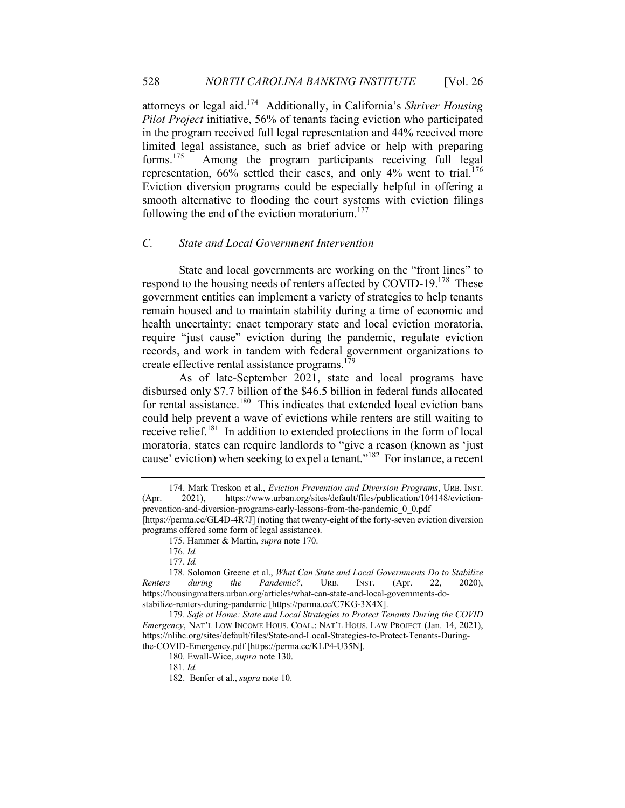attorneys or legal aid.174 Additionally, in California's *Shriver Housing Pilot Project* initiative, 56% of tenants facing eviction who participated in the program received full legal representation and 44% received more limited legal assistance, such as brief advice or help with preparing forms.175 Among the program participants receiving full legal representation,  $66\%$  settled their cases, and only  $4\%$  went to trial.<sup>176</sup> Eviction diversion programs could be especially helpful in offering a smooth alternative to flooding the court systems with eviction filings following the end of the eviction moratorium.<sup>177</sup>

# *C. State and Local Government Intervention*

State and local governments are working on the "front lines" to respond to the housing needs of renters affected by COVID-19.<sup>178</sup> These government entities can implement a variety of strategies to help tenants remain housed and to maintain stability during a time of economic and health uncertainty: enact temporary state and local eviction moratoria, require "just cause" eviction during the pandemic, regulate eviction records, and work in tandem with federal government organizations to create effective rental assistance programs.<sup>179</sup>

As of late-September 2021, state and local programs have disbursed only \$7.7 billion of the \$46.5 billion in federal funds allocated for rental assistance.<sup>180</sup> This indicates that extended local eviction bans could help prevent a wave of evictions while renters are still waiting to receive relief. $181$  In addition to extended protections in the form of local moratoria, states can require landlords to "give a reason (known as 'just cause' eviction) when seeking to expel a tenant."182 For instance, a recent

<sup>174.</sup> Mark Treskon et al., *Eviction Prevention and Diversion Programs*, URB. INST. (Apr. 2021), https://www.urban.org/sites/default/files/publication/104148/evictionprevention-and-diversion-programs-early-lessons-from-the-pandemic\_0\_0.pdf [https://perma.cc/GL4D-4R7J] (noting that twenty-eight of the forty-seven eviction diversion programs offered some form of legal assistance).

<sup>175.</sup> Hammer & Martin, *supra* note 170.

<sup>176.</sup> *Id.* 

<sup>177.</sup> *Id.*

<sup>178.</sup> Solomon Greene et al., *What Can State and Local Governments Do to Stabilize Renters during the Pandemic?*, URB. INST. (Apr. 22, 2020), https://housingmatters.urban.org/articles/what-can-state-and-local-governments-dostabilize-renters-during-pandemic [https://perma.cc/C7KG-3X4X].

<sup>179.</sup> *Safe at Home: State and Local Strategies to Protect Tenants During the COVID Emergency*, NAT'L LOW INCOME HOUS. COAL.: NAT'L HOUS. LAW PROJECT (Jan. 14, 2021), https://nlihc.org/sites/default/files/State-and-Local-Strategies-to-Protect-Tenants-Duringthe-COVID-Emergency.pdf [https://perma.cc/KLP4-U35N].

<sup>180.</sup> Ewall-Wice, *supra* note 130.

<sup>181.</sup> *Id.*

<sup>182.</sup> Benfer et al., *supra* note 10.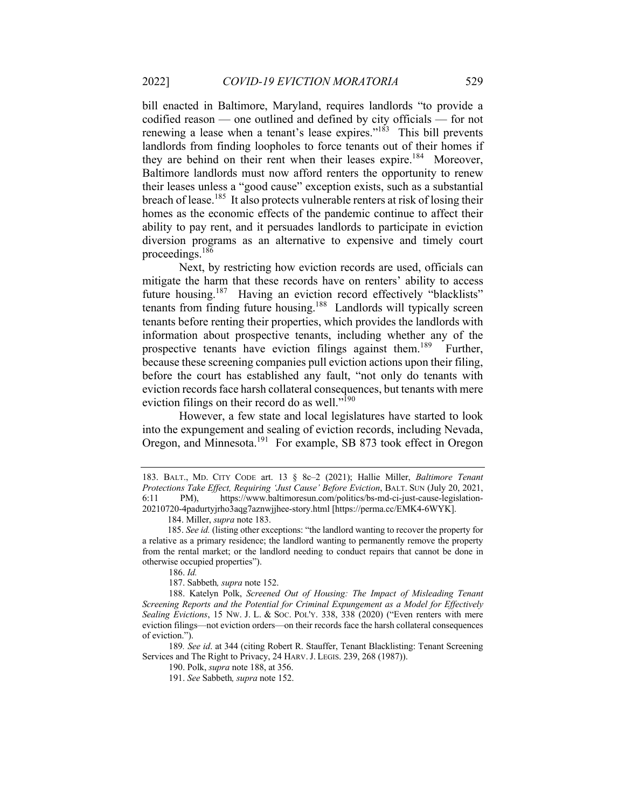bill enacted in Baltimore, Maryland, requires landlords "to provide a codified reason — one outlined and defined by city officials — for not renewing a lease when a tenant's lease expires." $183$  This bill prevents landlords from finding loopholes to force tenants out of their homes if they are behind on their rent when their leases expire.<sup>184</sup> Moreover, Baltimore landlords must now afford renters the opportunity to renew their leases unless a "good cause" exception exists, such as a substantial breach of lease.<sup>185</sup> It also protects vulnerable renters at risk of losing their homes as the economic effects of the pandemic continue to affect their ability to pay rent, and it persuades landlords to participate in eviction diversion programs as an alternative to expensive and timely court proceedings.186

Next, by restricting how eviction records are used, officials can mitigate the harm that these records have on renters' ability to access future housing.<sup>187</sup> Having an eviction record effectively "blacklists" tenants from finding future housing.<sup>188</sup> Landlords will typically screen tenants before renting their properties, which provides the landlords with information about prospective tenants, including whether any of the prospective tenants have eviction filings against them.<sup>189</sup> Further, because these screening companies pull eviction actions upon their filing, before the court has established any fault, "not only do tenants with eviction records face harsh collateral consequences, but tenants with mere eviction filings on their record do as well."<sup>190</sup>

However, a few state and local legislatures have started to look into the expungement and sealing of eviction records, including Nevada, Oregon, and Minnesota.<sup>191</sup> For example, SB 873 took effect in Oregon

<sup>183.</sup> BALT., MD. CITY CODE art. 13 § 8c–2 (2021); Hallie Miller, *Baltimore Tenant Protections Take Effect, Requiring 'Just Cause' Before Eviction*, BALT. SUN (July 20, 2021, 6:11 PM), https://www.baltimoresun.com/politics/bs-md-ci-just-cause-legislation-20210720-4padurtyjrho3aqg7aznwjjhee-story.html [https://perma.cc/EMK4-6WYK].

 <sup>184.</sup> Miller, *supra* note 183.

 <sup>185.</sup> *See id.* (listing other exceptions: "the landlord wanting to recover the property for a relative as a primary residence; the landlord wanting to permanently remove the property from the rental market; or the landlord needing to conduct repairs that cannot be done in otherwise occupied properties").

<sup>186.</sup> *Id.*

<sup>187.</sup> Sabbeth*, supra* note 152.

<sup>188.</sup> Katelyn Polk, *Screened Out of Housing: The Impact of Misleading Tenant Screening Reports and the Potential for Criminal Expungement as a Model for Effectively Sealing Evictions*, 15 NW. J. L. & SOC. POL'Y. 338, 338 (2020) ("Even renters with mere eviction filings—not eviction orders—on their records face the harsh collateral consequences of eviction.").

<sup>189</sup>*. See id*. at 344 (citing Robert R. Stauffer, Tenant Blacklisting: Tenant Screening Services and The Right to Privacy, 24 HARV. J. LEGIS. 239, 268 (1987)).

<sup>190.</sup> Polk, *supra* note 188, at 356.

<sup>191.</sup> *See* Sabbeth*, supra* note 152.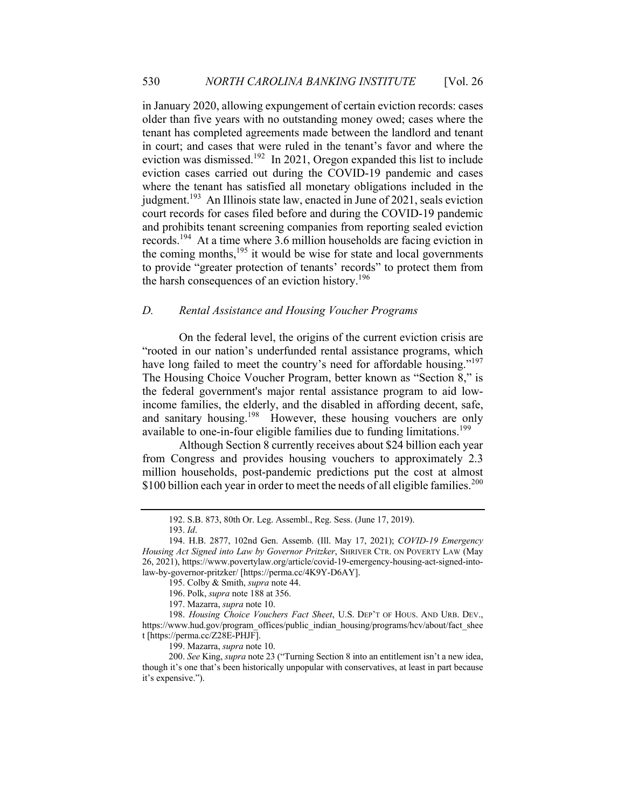in January 2020, allowing expungement of certain eviction records: cases older than five years with no outstanding money owed; cases where the tenant has completed agreements made between the landlord and tenant in court; and cases that were ruled in the tenant's favor and where the eviction was dismissed.<sup>192</sup> In 2021, Oregon expanded this list to include eviction cases carried out during the COVID-19 pandemic and cases where the tenant has satisfied all monetary obligations included in the judgment.<sup>193</sup> An Illinois state law, enacted in June of 2021, seals eviction court records for cases filed before and during the COVID-19 pandemic and prohibits tenant screening companies from reporting sealed eviction records.194 At a time where 3.6 million households are facing eviction in the coming months, $195$  it would be wise for state and local governments to provide "greater protection of tenants' records" to protect them from the harsh consequences of an eviction history.<sup>196</sup>

# *D. Rental Assistance and Housing Voucher Programs*

On the federal level, the origins of the current eviction crisis are "rooted in our nation's underfunded rental assistance programs, which have long failed to meet the country's need for affordable housing."<sup>197</sup> The Housing Choice Voucher Program, better known as "Section 8," is the federal government's major rental assistance program to aid lowincome families, the elderly, and the disabled in affording decent, safe, and sanitary housing.<sup>198</sup> However, these housing vouchers are only available to one-in-four eligible families due to funding limitations.<sup>199</sup>

Although Section 8 currently receives about \$24 billion each year from Congress and provides housing vouchers to approximately 2.3 million households, post-pandemic predictions put the cost at almost \$100 billion each year in order to meet the needs of all eligible families.<sup>200</sup>

<sup>192.</sup> S.B. 873, 80th Or. Leg. Assembl., Reg. Sess. (June 17, 2019).

<sup>193.</sup> *Id*.

<sup>194.</sup> H.B. 2877, 102nd Gen. Assemb. (Ill. May 17, 2021); *COVID-19 Emergency Housing Act Signed into Law by Governor Pritzker*, SHRIVER CTR. ON POVERTY LAW (May 26, 2021), https://www.povertylaw.org/article/covid-19-emergency-housing-act-signed-intolaw-by-governor-pritzker/ [https://perma.cc/4K9Y-D6AY].

<sup>195.</sup> Colby & Smith, *supra* note 44.

<sup>196.</sup> Polk, *supra* note 188 at 356.

<sup>197.</sup> Mazarra, *supra* note 10.

<sup>198.</sup> *Housing Choice Vouchers Fact Sheet*, U.S. DEP'T OF HOUS. AND URB. DEV., https://www.hud.gov/program\_offices/public\_indian\_housing/programs/hcv/about/fact\_shee t [https://perma.cc/Z28E-PHJF].

<sup>199.</sup> Mazarra, *supra* note 10.

<sup>200.</sup> *See* King, *supra* note 23 ("Turning Section 8 into an entitlement isn't a new idea, though it's one that's been historically unpopular with conservatives, at least in part because it's expensive.").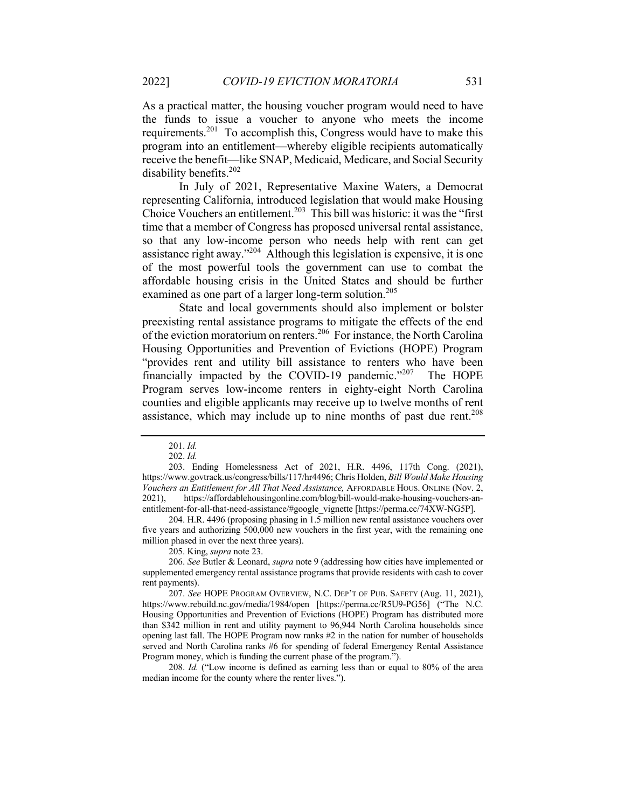As a practical matter, the housing voucher program would need to have the funds to issue a voucher to anyone who meets the income requirements.201 To accomplish this, Congress would have to make this program into an entitlement—whereby eligible recipients automatically receive the benefit—like SNAP, Medicaid, Medicare, and Social Security disability benefits. 202

In July of 2021, Representative Maxine Waters, a Democrat representing California, introduced legislation that would make Housing Choice Vouchers an entitlement.<sup>203</sup> This bill was historic: it was the "first" time that a member of Congress has proposed universal rental assistance, so that any low-income person who needs help with rent can get assistance right away."204 Although this legislation is expensive, it is one of the most powerful tools the government can use to combat the affordable housing crisis in the United States and should be further examined as one part of a larger long-term solution.<sup>205</sup>

State and local governments should also implement or bolster preexisting rental assistance programs to mitigate the effects of the end of the eviction moratorium on renters.<sup>206</sup> For instance, the North Carolina Housing Opportunities and Prevention of Evictions (HOPE) Program "provides rent and utility bill assistance to renters who have been financially impacted by the COVID-19 pandemic."<sup>207</sup> The HOPE Program serves low-income renters in eighty-eight North Carolina counties and eligible applicants may receive up to twelve months of rent assistance, which may include up to nine months of past due rent.<sup>208</sup>

204. H.R. 4496 (proposing phasing in 1.5 million new rental assistance vouchers over five years and authorizing 500,000 new vouchers in the first year, with the remaining one million phased in over the next three years).

205. King, *supra* note 23.

206. *See* Butler & Leonard, *supra* note 9 (addressing how cities have implemented or supplemented emergency rental assistance programs that provide residents with cash to cover rent payments).

208. *Id.* ("Low income is defined as earning less than or equal to 80% of the area median income for the county where the renter lives.").

<sup>201.</sup> *Id.*

<sup>202.</sup> *Id.*

<sup>203.</sup> Ending Homelessness Act of 2021, H.R. 4496, 117th Cong. (2021), https://www.govtrack.us/congress/bills/117/hr4496; Chris Holden, *Bill Would Make Housing Vouchers an Entitlement for All That Need Assistance,* AFFORDABLE HOUS. ONLINE (Nov. 2, 2021), https://affordablehousingonline.com/blog/bill-would-make-housing-vouchers-anentitlement-for-all-that-need-assistance/#google\_vignette [https://perma.cc/74XW-NG5P].

<sup>207.</sup> *See* HOPE PROGRAM OVERVIEW, N.C. DEP'T OF PUB. SAFETY (Aug. 11, 2021), https://www.rebuild.nc.gov/media/1984/open [https://perma.cc/R5U9-PG56] ("The N.C. Housing Opportunities and Prevention of Evictions (HOPE) Program has distributed more than \$342 million in rent and utility payment to 96,944 North Carolina households since opening last fall. The HOPE Program now ranks #2 in the nation for number of households served and North Carolina ranks #6 for spending of federal Emergency Rental Assistance Program money, which is funding the current phase of the program.").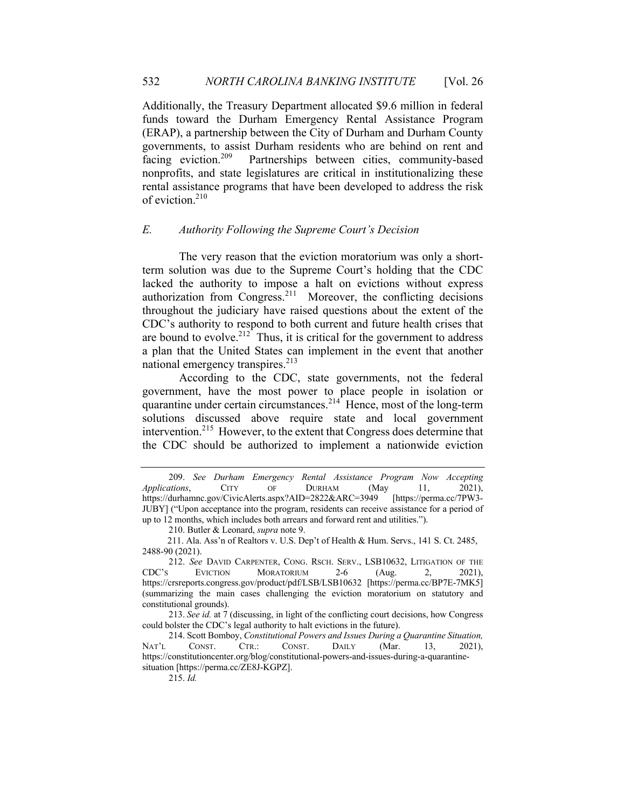Additionally, the Treasury Department allocated \$9.6 million in federal funds toward the Durham Emergency Rental Assistance Program (ERAP), a partnership between the City of Durham and Durham County governments, to assist Durham residents who are behind on rent and facing eviction.209 Partnerships between cities, community-based nonprofits, and state legislatures are critical in institutionalizing these rental assistance programs that have been developed to address the risk of eviction.<sup>210</sup>

# *E. Authority Following the Supreme Court's Decision*

The very reason that the eviction moratorium was only a shortterm solution was due to the Supreme Court's holding that the CDC lacked the authority to impose a halt on evictions without express authorization from Congress.<sup>211</sup> Moreover, the conflicting decisions throughout the judiciary have raised questions about the extent of the CDC's authority to respond to both current and future health crises that are bound to evolve.<sup>212</sup> Thus, it is critical for the government to address a plan that the United States can implement in the event that another national emergency transpires.<sup>213</sup>

According to the CDC, state governments, not the federal government, have the most power to place people in isolation or quarantine under certain circumstances.<sup>214</sup> Hence, most of the long-term solutions discussed above require state and local government intervention.215 However, to the extent that Congress does determine that the CDC should be authorized to implement a nationwide eviction

210. Butler & Leonard, *supra* note 9.

215. *Id.*

<sup>209.</sup> *See Durham Emergency Rental Assistance Program Now Accepting Applications*, CITY OF DURHAM (May 11, 2021), https://durhamnc.gov/CivicAlerts.aspx?AID=2822&ARC=3949 [https://perma.cc/7PW3- JUBY] ("Upon acceptance into the program, residents can receive assistance for a period of up to 12 months, which includes both arrears and forward rent and utilities.").

 <sup>211.</sup> Ala. Ass'n of Realtors v. U.S. Dep't of Health & Hum. Servs., 141 S. Ct. 2485, 2488-90 (2021).

<sup>212.</sup> *See* DAVID CARPENTER, CONG. RSCH. SERV., LSB10632, LITIGATION OF THE CDC'S EVICTION MORATORIUM 2-6 (Aug. 2, 2021), https://crsreports.congress.gov/product/pdf/LSB/LSB10632 [https://perma.cc/BP7E-7MK5] (summarizing the main cases challenging the eviction moratorium on statutory and constitutional grounds).

<sup>213.</sup> *See id.* at 7 (discussing, in light of the conflicting court decisions, how Congress could bolster the CDC's legal authority to halt evictions in the future).

<sup>214.</sup> Scott Bomboy, *Constitutional Powers and Issues During a Quarantine Situation,*  NAT'L CONST. CTR.: CONST. DAILY (Mar. 13, 2021), https://constitutioncenter.org/blog/constitutional-powers-and-issues-during-a-quarantinesituation [https://perma.cc/ZE8J-KGPZ].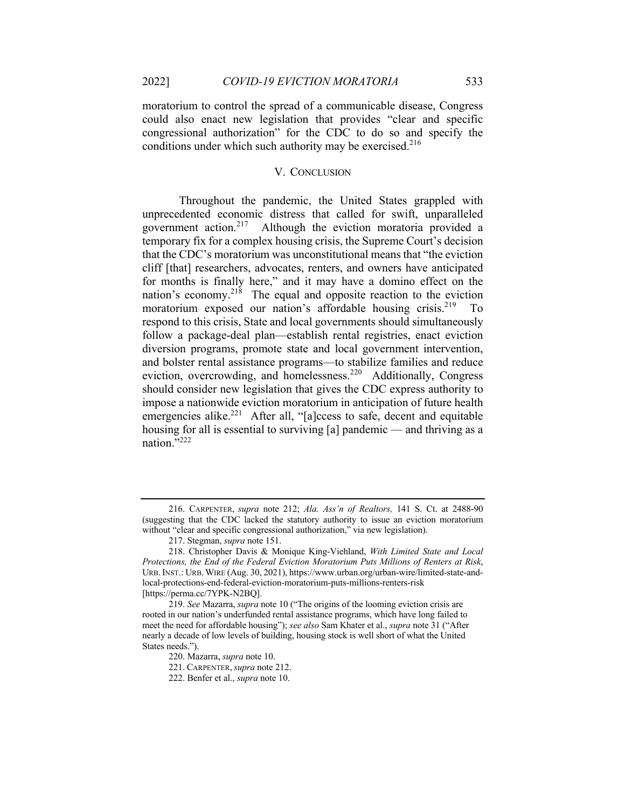moratorium to control the spread of a communicable disease, Congress could also enact new legislation that provides "clear and specific congressional authorization" for the CDC to do so and specify the conditions under which such authority may be exercised. $216$ 

#### V. CONCLUSION

Throughout the pandemic, the United States grappled with unprecedented economic distress that called for swift, unparalleled government action.217 Although the eviction moratoria provided a temporary fix for a complex housing crisis, the Supreme Court's decision that the CDC's moratorium was unconstitutional means that "the eviction cliff [that] researchers, advocates, renters, and owners have anticipated for months is finally here," and it may have a domino effect on the nation's economy.<sup>218</sup> The equal and opposite reaction to the eviction moratorium exposed our nation's affordable housing crisis.<sup>219</sup> To respond to this crisis, State and local governments should simultaneously follow a package-deal plan—establish rental registries, enact eviction diversion programs, promote state and local government intervention, and bolster rental assistance programs—to stabilize families and reduce eviction, overcrowding, and homelessness.<sup>220</sup> Additionally, Congress should consider new legislation that gives the CDC express authority to impose a nationwide eviction moratorium in anticipation of future health emergencies alike.<sup>221</sup> After all, "[a]ccess to safe, decent and equitable housing for all is essential to surviving [a] pandemic — and thriving as a nation."<sup>222</sup>

<sup>216.</sup> CARPENTER, *supra* note 212; *Ala. Ass'n of Realtors,* 141 S. Ct. at 2488-90 (suggesting that the CDC lacked the statutory authority to issue an eviction moratorium without "clear and specific congressional authorization," via new legislation).

<sup>217.</sup> Stegman, *supra* note 151.

<sup>218.</sup> Christopher Davis & Monique King-Viehland, *With Limited State and Local Protections, the End of the Federal Eviction Moratorium Puts Millions of Renters at Risk*, URB.INST.: URB.WIRE (Aug. 30, 2021), https://www.urban.org/urban-wire/limited-state-andlocal-protections-end-federal-eviction-moratorium-puts-millions-renters-risk [https://perma.cc/7YPK-N2BQ].

<sup>219.</sup> *See* Mazarra, *supra* note 10 ("The origins of the looming eviction crisis are rooted in our nation's underfunded rental assistance programs, which have long failed to meet the need for affordable housing"); *see also* Sam Khater et al., *supra* note 31 ("After nearly a decade of low levels of building, housing stock is well short of what the United States needs.").

<sup>220.</sup> Mazarra, *supra* note 10.

<sup>221.</sup> CARPENTER,*supra* note 212.

<sup>222.</sup> Benfer et al., *supra* note 10.